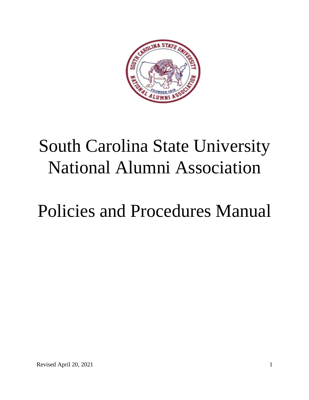

# South Carolina State University National Alumni Association

# Policies and Procedures Manual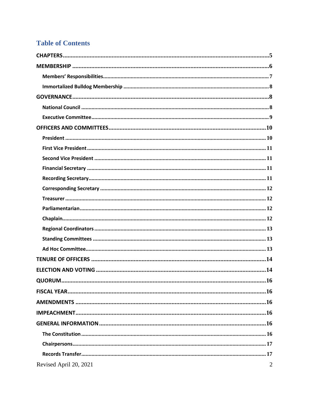# **Table of Contents**

| Revised April 20, 2021<br>$\overline{2}$ |
|------------------------------------------|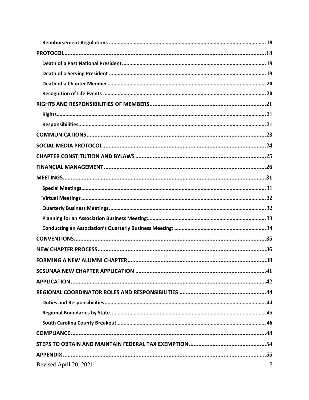| Revised April 20, 2021 | 3 |
|------------------------|---|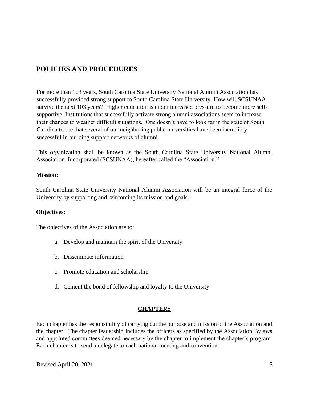# **POLICIES AND PROCEDURES**

For more than 103 years, South Carolina State University National Alumni Association has successfully provided strong support to South Carolina State University. How will SCSUNAA survive the next 103 years? Higher education is under increased pressure to become more selfsupportive. Institutions that successfully activate strong alumni associations seem to increase their chances to weather difficult situations. One doesn't have to look far in the state of South Carolina to see that several of our neighboring public universities have been incredibly successful in building support networks of alumni.

This organization shall be known as the South Carolina State University National Alumni Association, Incorporated (SCSUNAA), hereafter called the "Association."

#### **Mission:**

South Carolina State University National Alumni Association will be an integral force of the University by supporting and reinforcing its mission and goals.

## **Objectives:**

The objectives of the Association are to:

- a. Develop and maintain the spirit of the University
- b. Disseminate information
- c. Promote education and scholarship
- d. Cement the bond of fellowship and loyalty to the University

## **CHAPTERS**

<span id="page-4-0"></span>Each chapter has the responsibility of carrying out the purpose and mission of the Association and the chapter. The chapter leadership includes the officers as specified by the Association Bylaws and appointed committees deemed necessary by the chapter to implement the chapter's program. Each chapter is to send a delegate to each national meeting and convention.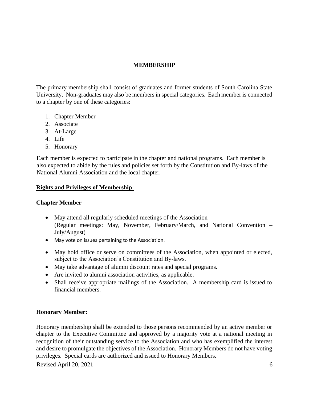## **MEMBERSHIP**

<span id="page-5-0"></span>The primary membership shall consist of graduates and former students of South Carolina State University. Non-graduates may also be members in special categories. Each member is connected to a chapter by one of these categories:

- 1. Chapter Member
- 2. Associate
- 3. At-Large
- 4. Life
- 5. Honorary

Each member is expected to participate in the chapter and national programs. Each member is also expected to abide by the rules and policies set forth by the Constitution and By-laws of the National Alumni Association and the local chapter.

## **Rights and Privileges of Membership**:

## **Chapter Member**

- May attend all regularly scheduled meetings of the Association (Regular meetings: May, November, February/March, and National Convention – July/August)
- May vote on issues pertaining to the Association.
- May hold office or serve on committees of the Association, when appointed or elected, subject to the Association's Constitution and By-laws.
- May take advantage of alumni discount rates and special programs.
- Are invited to alumni association activities, as applicable.
- Shall receive appropriate mailings of the Association. A membership card is issued to financial members.

## **Honorary Member:**

Honorary membership shall be extended to those persons recommended by an active member or chapter to the Executive Committee and approved by a majority vote at a national meeting in recognition of their outstanding service to the Association and who has exemplified the interest and desire to promulgate the objectives of the Association. Honorary Members do not have voting privileges. Special cards are authorized and issued to Honorary Members.

Revised April 20, 2021 6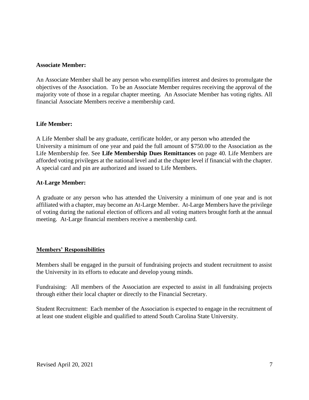#### **Associate Member:**

An Associate Member shall be any person who exemplifies interest and desires to promulgate the objectives of the Association. To be an Associate Member requires receiving the approval of the majority vote of those in a regular chapter meeting. An Associate Member has voting rights. All financial Associate Members receive a membership card.

#### **Life Member:**

A Life Member shall be any graduate, certificate holder, or any person who attended the University a minimum of one year and paid the full amount of \$750.00 to the Association as the Life Membership fee. See **Life Membership Dues Remittances** on page 40. Life Members are afforded voting privileges at the national level and at the chapter level if financial with the chapter. A special card and pin are authorized and issued to Life Members.

#### **At-Large Member:**

A graduate or any person who has attended the University a minimum of one year and is not affiliated with a chapter, may become an At-Large Member. At-Large Members have the privilege of voting during the national election of officers and all voting matters brought forth at the annual meeting. At-Large financial members receive a membership card.

#### <span id="page-6-0"></span>**Members' Responsibilities**

Members shall be engaged in the pursuit of fundraising projects and student recruitment to assist the University in its efforts to educate and develop young minds.

Fundraising: All members of the Association are expected to assist in all fundraising projects through either their local chapter or directly to the Financial Secretary.

Student Recruitment: Each member of the Association is expected to engage in the recruitment of at least one student eligible and qualified to attend South Carolina State University.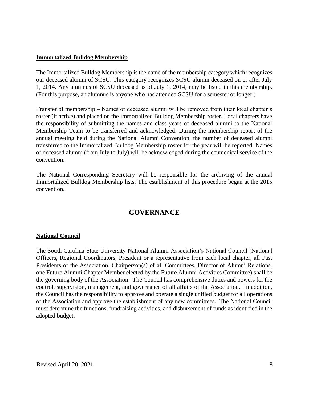#### <span id="page-7-0"></span>**Immortalized Bulldog Membership**

The Immortalized Bulldog Membership is the name of the membership category which recognizes our deceased alumni of SCSU. This category recognizes SCSU alumni deceased on or after July 1, 2014. Any alumnus of SCSU deceased as of July 1, 2014, may be listed in this membership. (For this purpose, an alumnus is anyone who has attended SCSU for a semester or longer.)

Transfer of membership – Names of deceased alumni will be removed from their local chapter's roster (if active) and placed on the Immortalized Bulldog Membership roster. Local chapters have the responsibility of submitting the names and class years of deceased alumni to the National Membership Team to be transferred and acknowledged. During the membership report of the annual meeting held during the National Alumni Convention, the number of deceased alumni transferred to the Immortalized Bulldog Membership roster for the year will be reported. Names of deceased alumni (from July to July) will be acknowledged during the ecumenical service of the convention.

The National Corresponding Secretary will be responsible for the archiving of the annual Immortalized Bulldog Membership lists. The establishment of this procedure began at the 2015 convention.

## **GOVERNANCE**

## <span id="page-7-2"></span><span id="page-7-1"></span>**National Council**

The South Carolina State University National Alumni Association's National Council (National Officers, Regional Coordinators, President or a representative from each local chapter, all Past Presidents of the Association, Chairperson(s) of all Committees, Director of Alumni Relations, one Future Alumni Chapter Member elected by the Future Alumni Activities Committee) shall be the governing body of the Association. The Council has comprehensive duties and powers for the control, supervision, management, and governance of all affairs of the Association. In addition, the Council has the responsibility to approve and operate a single unified budget for all operations of the Association and approve the establishment of any new committees. The National Council must determine the functions, fundraising activities, and disbursement of funds as identified in the adopted budget.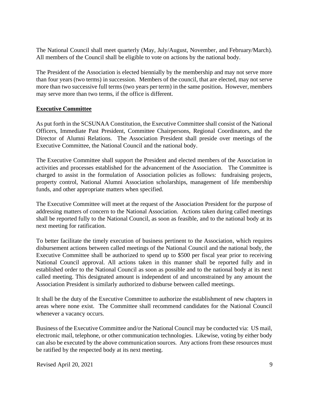The National Council shall meet quarterly (May, July/August, November, and February/March). All members of the Council shall be eligible to vote on actions by the national body.

The President of the Association is elected biennially by the membership and may not serve more than four years (two terms) in succession. Members of the council, that are elected, may not serve more than two successive full terms (two years per term) in the same position**.** However, members may serve more than two terms, if the office is different.

#### <span id="page-8-0"></span>**Executive Committee**

As put forth in the SCSUNAA Constitution, the Executive Committee shall consist of the National Officers, Immediate Past President, Committee Chairpersons, Regional Coordinators, and the Director of Alumni Relations. The Association President shall preside over meetings of the Executive Committee, the National Council and the national body.

The Executive Committee shall support the President and elected members of the Association in activities and processes established for the advancement of the Association. The Committee is charged to assist in the formulation of Association policies as follows: fundraising projects, property control, National Alumni Association scholarships, management of life membership funds, and other appropriate matters when specified.

The Executive Committee will meet at the request of the Association President for the purpose of addressing matters of concern to the National Association. Actions taken during called meetings shall be reported fully to the National Council, as soon as feasible, and to the national body at its next meeting for ratification.

To better facilitate the timely execution of business pertinent to the Association, which requires disbursement actions between called meetings of the National Council and the national body, the Executive Committee shall be authorized to spend up to \$500 per fiscal year prior to receiving National Council approval. All actions taken in this manner shall be reported fully and in established order to the National Council as soon as possible and to the national body at its next called meeting. This designated amount is independent of and unconstrained by any amount the Association President is similarly authorized to disburse between called meetings.

It shall be the duty of the Executive Committee to authorize the establishment of new chapters in areas where none exist. The Committee shall recommend candidates for the National Council whenever a vacancy occurs.

Business of the Executive Committee and/or the National Council may be conducted via: US mail, electronic mail, telephone, or other communication technologies. Likewise, voting by either body can also be executed by the above communication sources. Any actions from these resources must be ratified by the respected body at its next meeting.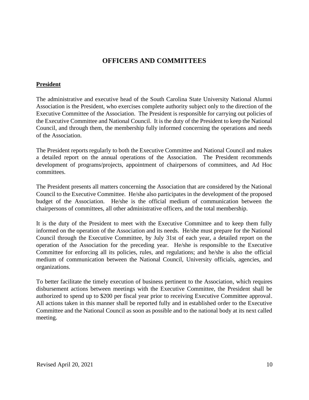# **OFFICERS AND COMMITTEES**

#### <span id="page-9-1"></span><span id="page-9-0"></span>**President**

The administrative and executive head of the South Carolina State University National Alumni Association is the President, who exercises complete authority subject only to the direction of the Executive Committee of the Association. The President is responsible for carrying out policies of the Executive Committee and National Council. It is the duty of the President to keep the National Council, and through them, the membership fully informed concerning the operations and needs of the Association.

The President reports regularly to both the Executive Committee and National Council and makes a detailed report on the annual operations of the Association. The President recommends development of programs/projects, appointment of chairpersons of committees, and Ad Hoc committees.

The President presents all matters concerning the Association that are considered by the National Council to the Executive Committee. He/she also participates in the development of the proposed budget of the Association. He/she is the official medium of communication between the chairpersons of committees, all other administrative officers, and the total membership.

It is the duty of the President to meet with the Executive Committee and to keep them fully informed on the operation of the Association and its needs. He/she must prepare for the National Council through the Executive Committee, by July 31st of each year, a detailed report on the operation of the Association for the preceding year. He/she is responsible to the Executive Committee for enforcing all its policies, rules, and regulations; and he/she is also the official medium of communication between the National Council, University officials, agencies, and organizations.

To better facilitate the timely execution of business pertinent to the Association, which requires disbursement actions between meetings with the Executive Committee, the President shall be authorized to spend up to \$200 per fiscal year prior to receiving Executive Committee approval. All actions taken in this manner shall be reported fully and in established order to the Executive Committee and the National Council as soon as possible and to the national body at its next called meeting.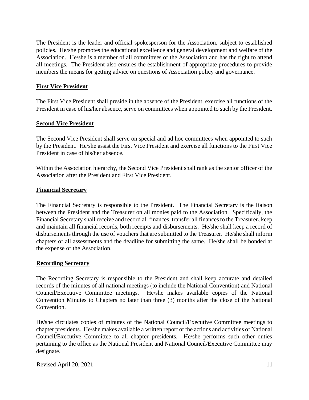The President is the leader and official spokesperson for the Association, subject to established policies. He/she promotes the educational excellence and general development and welfare of the Association. He/she is a member of all committees of the Association and has the right to attend all meetings. The President also ensures the establishment of appropriate procedures to provide members the means for getting advice on questions of Association policy and governance.

#### <span id="page-10-0"></span>**First Vice President**

The First Vice President shall preside in the absence of the President, exercise all functions of the President in case of his/her absence, serve on committees when appointed to such by the President.

#### <span id="page-10-1"></span>**Second Vice President**

The Second Vice President shall serve on special and ad hoc committees when appointed to such by the President. He/she assist the First Vice President and exercise all functions to the First Vice President in case of his/her absence.

Within the Association hierarchy, the Second Vice President shall rank as the senior officer of the Association after the President and First Vice President.

#### <span id="page-10-2"></span>**Financial Secretary**

The Financial Secretary is responsible to the President. The Financial Secretary is the liaison between the President and the Treasurer on all monies paid to the Association. Specifically, the Financial Secretary shall receive and record all finances, transfer all finances to the Treasurer**,** keep and maintain all financial records, both receipts and disbursements. He/she shall keep a record of disbursements through the use of vouchers that are submitted to the Treasurer. He/she shall inform chapters of all assessments and the deadline for submitting the same. He/she shall be bonded at the expense of the Association.

#### <span id="page-10-3"></span>**Recording Secretary**

The Recording Secretary is responsible to the President and shall keep accurate and detailed records of the minutes of all national meetings (to include the National Convention) and National Council/Executive Committee meetings. He/she makes available copies of the National Convention Minutes to Chapters no later than three (3) months after the close of the National Convention.

He/she circulates copies of minutes of the National Council/Executive Committee meetings to chapter presidents. He/she makes available a written report of the actions and activities of National Council/Executive Committee to all chapter presidents. He/she performs such other duties pertaining to the office as the National President and National Council/Executive Committee may designate.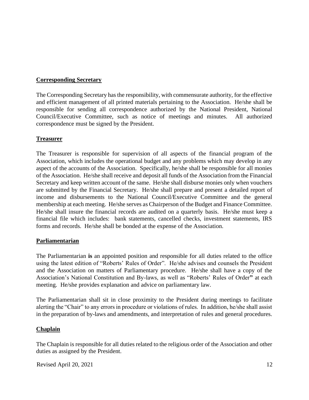#### <span id="page-11-0"></span>**Corresponding Secretary**

The Corresponding Secretary has the responsibility, with commensurate authority, for the effective and efficient management of all printed materials pertaining to the Association. He/she shall be responsible for sending all correspondence authorized by the National President, National Council/Executive Committee, such as notice of meetings and minutes. All authorized correspondence must be signed by the President.

#### <span id="page-11-1"></span>**Treasurer**

The Treasurer is responsible for supervision of all aspects of the financial program of the Association, which includes the operational budget and any problems which may develop in any aspect of the accounts of the Association. Specifically, he/she shall be responsible for all monies of the Association. He/she shall receive and deposit all funds of the Association from the Financial Secretary and keep written account of the same. He/she shall disburse monies only when vouchers are submitted by the Financial Secretary. He/she shall prepare and present a detailed report of income and disbursements to the National Council/Executive Committee and the general membership at each meeting. He/she serves as Chairperson of the Budget and Finance Committee. He/she shall insure the financial records are audited on a quarterly basis. He/she must keep a financial file which includes: bank statements, cancelled checks, investment statements, IRS forms and records. He/she shall be bonded at the expense of the Association.

#### <span id="page-11-2"></span>**Parliamentarian**

The Parliamentarian **is** an appointed position and responsible for all duties related to the office using the latest edition of "Roberts' Rules of Order". He/she advises and counsels the President and the Association on matters of Parliamentary procedure. He/she shall have a copy of the Association's National Constitution and By-laws, as well as "Roberts' Rules of Order**"** at each meeting. He/she provides explanation and advice on parliamentary law.

The Parliamentarian shall sit in close proximity to the President during meetings to facilitate alerting the "Chair" to any errors in procedure or violations of rules. In addition, he/she shall assist in the preparation of by-laws and amendments, and interpretation of rules and general procedures.

## <span id="page-11-3"></span>**Chaplain**

The Chaplain is responsible for all duties related to the religious order of the Association and other duties as assigned by the President.

Revised April 20, 2021  $\frac{12}{2}$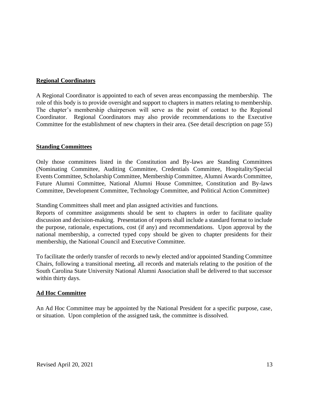## <span id="page-12-0"></span>**Regional Coordinators**

A Regional Coordinator is appointed to each of seven areas encompassing the membership. The role of this body is to provide oversight and support to chapters in matters relating to membership. The chapter's membership chairperson will serve as the point of contact to the Regional Coordinator. Regional Coordinators may also provide recommendations to the Executive Committee for the establishment of new chapters in their area. (See detail description on page 55)

#### <span id="page-12-1"></span>**Standing Committees**

Only those committees listed in the Constitution and By-laws are Standing Committees (Nominating Committee, Auditing Committee, Credentials Committee, Hospitality/Special Events Committee, Scholarship Committee, Membership Committee, Alumni Awards Committee, Future Alumni Committee, National Alumni House Committee, Constitution and By-laws Committee, Development Committee, Technology Committee, and Political Action Committee)

Standing Committees shall meet and plan assigned activities and functions.

Reports of committee assignments should be sent to chapters in order to facilitate quality discussion and decision-making. Presentation of reports shall include a standard format to include the purpose, rationale, expectations, cost (if any) and recommendations. Upon approval by the national membership, a corrected typed copy should be given to chapter presidents for their membership, the National Council and Executive Committee.

To facilitate the orderly transfer of records to newly elected and/or appointed Standing Committee Chairs, following a transitional meeting, all records and materials relating to the position of the South Carolina State University National Alumni Association shall be delivered to that successor within thirty days.

## <span id="page-12-2"></span>**Ad Hoc Committee**

An Ad Hoc Committee may be appointed by the National President for a specific purpose, case, or situation. Upon completion of the assigned task, the committee is dissolved.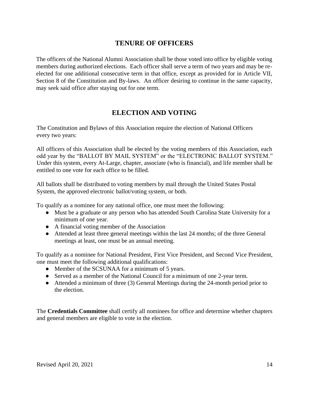# **TENURE OF OFFICERS**

<span id="page-13-0"></span>The officers of the National Alumni Association shall be those voted into office by eligible voting members during authorized elections. Each officer shall serve a term of two years and may be reelected for one additional consecutive term in that office, except as provided for in Article VII, Section 8 of the Constitution and By-laws. An officer desiring to continue in the same capacity, may seek said office after staying out for one term.

# **ELECTION AND VOTING**

<span id="page-13-1"></span>The Constitution and Bylaws of this Association require the election of National Officers every two years:

All officers of this Association shall be elected by the voting members of this Association, each odd year by the "BALLOT BY MAIL SYSTEM" or the "ELECTRONIC BALLOT SYSTEM." Under this system, every At-Large, chapter, associate (who is financial), and life member shall be entitled to one vote for each office to be filled.

All ballots shall be distributed to voting members by mail through the United States Postal System, the approved electronic ballot/voting system, or both.

To qualify as a nominee for any national office, one must meet the following:

- Must be a graduate or any person who has attended South Carolina State University for a minimum of one year.
- A financial voting member of the Association
- Attended at least three general meetings within the last 24 months; of the three General meetings at least, one must be an annual meeting.

To qualify as a nominee for National President, First Vice President, and Second Vice President, one must meet the following additional qualifications:

- Member of the SCSUNAA for a minimum of 5 years.
- Served as a member of the National Council for a minimum of one 2-year term.
- Attended a minimum of three (3) General Meetings during the 24-month period prior to the election.

The **Credentials Committee** shall certify all nominees for office and determine whether chapters and general members are eligible to vote in the election.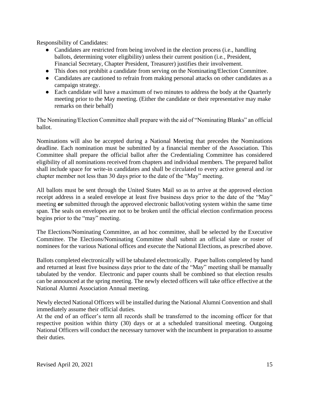Responsibility of Candidates:

- Candidates are restricted from being involved in the election process (i.e., handling ballots, determining voter eligibility) unless their current position (i.e., President, Financial Secretary, Chapter President, Treasurer) justifies their involvement.
- This does not prohibit a candidate from serving on the Nominating/Election Committee.
- Candidates are cautioned to refrain from making personal attacks on other candidates as a campaign strategy.
- Each candidate will have a maximum of two minutes to address the body at the Quarterly meeting prior to the May meeting. (Either the candidate or their representative may make remarks on their behalf)

The Nominating/Election Committee shall prepare with the aid of "Nominating Blanks" an official ballot.

Nominations will also be accepted during a National Meeting that precedes the Nominations deadline. Each nomination must be submitted by a financial member of the Association. This Committee shall prepare the official ballot after the Credentialing Committee has considered eligibility of all nominations received from chapters and individual members. The prepared ballot shall include space for write-in candidates and shall be circulated to every active general and /or chapter member not less than 30 days prior to the date of the "May" meeting.

All ballots must be sent through the United States Mail so as to arrive at the approved election receipt address in a sealed envelope at least five business days prior to the date of the "May" meeting **or** submitted through the approved electronic ballot/voting system within the same time span. The seals on envelopes are not to be broken until the official election confirmation process begins prior to the "may" meeting.

The Elections/Nominating Committee, an ad hoc committee, shall be selected by the Executive Committee. The Elections/Nominating Committee shall submit an official slate or roster of nominees for the various National offices and execute the National Elections, as prescribed above.

Ballots completed electronically will be tabulated electronically. Paper ballots completed by hand and returned at least five business days prior to the date of the "May" meeting shall be manually tabulated by the vendor. Electronic and paper counts shall be combined so that election results can be announced at the spring meeting. The newly elected officers will take office effective at the National Alumni Association Annual meeting.

Newly elected National Officers will be installed during the National Alumni Convention and shall immediately assume their official duties.

At the end of an officer's term all records shall be transferred to the incoming officer for that respective position within thirty (30) days or at a scheduled transitional meeting*.* Outgoing National Officers will conduct the necessary turnover with the incumbent in preparation to assume their duties.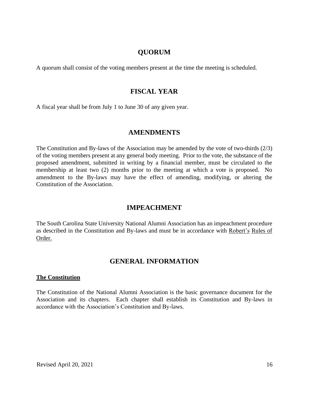# **QUORUM**

<span id="page-15-0"></span>A quorum shall consist of the voting members present at the time the meeting is scheduled.

## **FISCAL YEAR**

<span id="page-15-1"></span>A fiscal year shall be from July 1 to June 30 of any given year.

#### **AMENDMENTS**

<span id="page-15-2"></span>The Constitution and By-laws of the Association may be amended by the vote of two-thirds (2/3) of the voting members present at any general body meeting. Prior to the vote, the substance of the proposed amendment, submitted in writing by a financial member, must be circulated to the membership at least two (2) months prior to the meeting at which a vote is proposed. No amendment to the By-laws may have the effect of amending, modifying, or altering the Constitution of the Association.

## **IMPEACHMENT**

<span id="page-15-3"></span>The South Carolina State University National Alumni Association has an impeachment procedure as described in the Constitution and By-laws and must be in accordance with Robert's Rules of Order.

## **GENERAL INFORMATION**

#### <span id="page-15-5"></span><span id="page-15-4"></span>**The Constitution**

The Constitution of the National Alumni Association is the basic governance document for the Association and its chapters. Each chapter shall establish its Constitution and By-laws in accordance with the Association's Constitution and By-laws.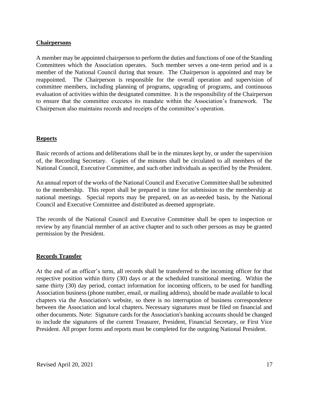#### <span id="page-16-0"></span>**Chairpersons**

A member may be appointed chairperson to perform the duties and functions of one of the Standing Committees which the Association operates. Such member serves a one-term period and is a member of the National Council during that tenure. The Chairperson is appointed and may be reappointed. The Chairperson is responsible for the overall operation and supervision of committee members, including planning of programs, upgrading of programs, and continuous evaluation of activities within the designated committee. It is the responsibility of the Chairperson to ensure that the committee executes its mandate within the Association's framework. The Chairperson also maintains records and receipts of the committee's operation.

#### **Reports**

Basic records of actions and deliberations shall be in the minutes kept by, or under the supervision of, the Recording Secretary. Copies of the minutes shall be circulated to all members of the National Council, Executive Committee, and such other individuals as specified by the President.

An annual report of the works of the National Council and Executive Committee shall be submitted to the membership. This report shall be prepared in time for submission to the membership at national meetings. Special reports may be prepared, on an as-needed basis, by the National Council and Executive Committee and distributed as deemed appropriate.

The records of the National Council and Executive Committee shall be open to inspection or review by any financial member of an active chapter and to such other persons as may be granted permission by the President.

#### <span id="page-16-1"></span>**Records Transfer**

At the end of an officer's term, all records shall be transferred to the incoming officer for that respective position within thirty (30) days or at the scheduled transitional meeting. Within the same thirty (30) day period, contact information for incoming officers, to be used for handling Association business (phone number, email, or mailing address), should be made available to local chapters via the Association's website, so there is no interruption of business correspondence between the Association and local chapters**.** Necessary signatures must be filed on financial and other documents. Note: Signature cards for the Association's banking accounts should be changed to include the signatures of the current Treasurer, President, Financial Secretary, or First Vice President. All proper forms and reports must be completed for the outgoing National President.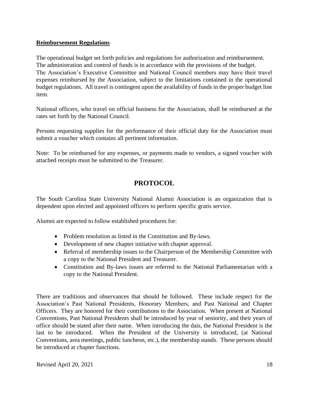## <span id="page-17-0"></span>**Reimbursement Regulations**

The operational budget set forth policies and regulations for authorization and reimbursement. The administration and control of funds is in accordance with the provisions of the budget. The Association's Executive Committee and National Council members may have their travel expenses reimbursed by the Association, subject to the limitations contained in the operational budget regulations. All travel is contingent upon the availability of funds in the proper budget line item.

National officers, who travel on official business for the Association, shall be reimbursed at the rates set forth by the National Council.

Persons requesting supplies for the performance of their official duty for the Association must submit a voucher which contains all pertinent information.

Note: To be reimbursed for any expenses, or payments made to vendors, a signed voucher with attached receipts must be submitted to the Treasurer.

# **PROTOCOL**

<span id="page-17-1"></span>The South Carolina State University National Alumni Association is an organization that is dependent upon elected and appointed officers to perform specific gratis service.

Alumni are expected to follow established procedures for:

- Problem resolution as listed in the Constitution and By-laws.
- Development of new chapter initiative with chapter approval.
- Referral of membership issues to the Chairperson of the Membership Committee with a copy to the National President and Treasurer.
- Constitution and By-laws issues are referred to the National Parliamentarian with a copy to the National President.

There are traditions and observances that should be followed. These include respect for the Association's Past National Presidents, Honorary Members, and Past National and Chapter Officers. They are honored for their contributions to the Association. When present at National Conventions, Past National Presidents shall be introduced by year of seniority, and their years of office should be stated after their name. When introducing the dais, the National President is the last to be introduced. When the President of the University is introduced, (at National Conventions, area meetings, public luncheon, etc.), the membership stands. These persons should be introduced at chapter functions.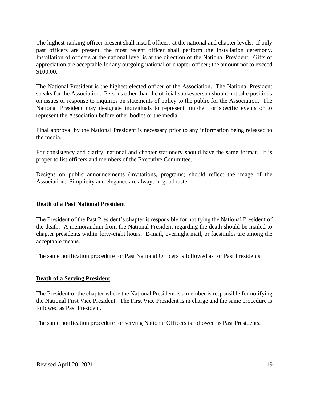The highest-ranking officer present shall install officers at the national and chapter levels. If only past officers are present, the most recent officer shall perform the installation ceremony. Installation of officers at the national level is at the direction of the National President. Gifts of appreciation are acceptable for any outgoing national or chapter officer**;** the amount not to exceed \$100.00.

The National President is the highest elected officer of the Association. The National President speaks for the Association. Persons other than the official spokesperson should not take positions on issues or response to inquiries on statements of policy to the public for the Association. The National President may designate individuals to represent him/her for specific events or to represent the Association before other bodies or the media.

Final approval by the National President is necessary prior to any information being released to the media.

For consistency and clarity, national and chapter stationery should have the same format. It is proper to list officers and members of the Executive Committee.

Designs on public announcements (invitations, programs) should reflect the image of the Association. Simplicity and elegance are always in good taste.

## <span id="page-18-0"></span>**Death of a Past National President**

The President of the Past President's chapter is responsible for notifying the National President of the death. A memorandum from the National President regarding the death should be mailed to chapter presidents within forty-eight hours. E-mail, overnight mail, or facsimiles are among the acceptable means.

The same notification procedure for Past National Officers is followed as for Past Presidents.

## <span id="page-18-1"></span>**Death of a Serving President**

The President of the chapter where the National President is a member is responsible for notifying the National First Vice President. The First Vice President is in charge and the same procedure is followed as Past President.

The same notification procedure for serving National Officers is followed as Past Presidents.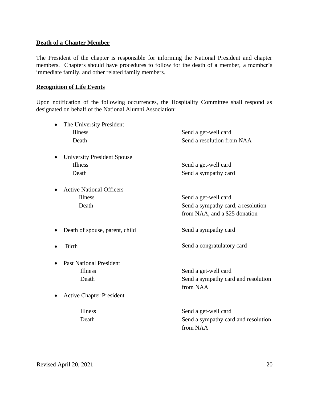#### <span id="page-19-0"></span>**Death of a Chapter Member**

The President of the chapter is responsible for informing the National President and chapter members. Chapters should have procedures to follow for the death of a member, a member's immediate family, and other related family members.

#### <span id="page-19-1"></span>**Recognition of Life Events**

Upon notification of the following occurrences, the Hospitality Committee shall respond as designated on behalf of the National Alumni Association:

| The University President           |                                     |
|------------------------------------|-------------------------------------|
| Illness                            | Send a get-well card                |
| Death                              | Send a resolution from NAA          |
| <b>University President Spouse</b> |                                     |
| Illness                            | Send a get-well card                |
| Death                              | Send a sympathy card                |
| <b>Active National Officers</b>    |                                     |
| Illness                            | Send a get-well card                |
| Death                              | Send a sympathy card, a resolution  |
|                                    | from NAA, and a \$25 donation       |
| Death of spouse, parent, child     | Send a sympathy card                |
| <b>Birth</b>                       | Send a congratulatory card          |
| <b>Past National President</b>     |                                     |
| Illness                            | Send a get-well card                |
| Death                              | Send a sympathy card and resolution |
|                                    | from NAA                            |
| <b>Active Chapter President</b>    |                                     |
| Illness                            | Send a get-well card                |
| Death                              | Send a sympathy card and resolution |
|                                    | from NAA                            |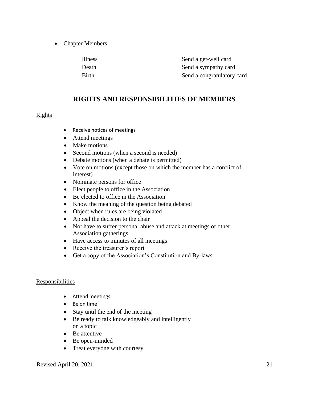• Chapter Members

| <b>Illness</b> | Send a get-well card       |
|----------------|----------------------------|
| Death          | Send a sympathy card       |
| <b>Birth</b>   | Send a congratulatory card |

# **RIGHTS AND RESPONSIBILITIES OF MEMBERS**

#### <span id="page-20-1"></span><span id="page-20-0"></span>Rights

- Receive notices of meetings
- Attend meetings
- Make motions
- Second motions (when a second is needed)
- Debate motions (when a debate is permitted)
- Vote on motions (except those on which the member has a conflict of interest)
- Nominate persons for office
- Elect people to office in the Association
- Be elected to office in the Association
- Know the meaning of the question being debated
- Object when rules are being violated
- Appeal the decision to the chair
- Not have to suffer personal abuse and attack at meetings of other Association gatherings
- Have access to minutes of all meetings
- Receive the treasurer's report
- Get a copy of the Association's Constitution and By-laws

#### <span id="page-20-2"></span>**Responsibilities**

- Attend meetings
- Be on time
- Stay until the end of the meeting
- Be ready to talk knowledgeably and intelligently on a topic
- Be attentive
- Be open-minded
- Treat everyone with courtesy

Revised April 20, 2021 21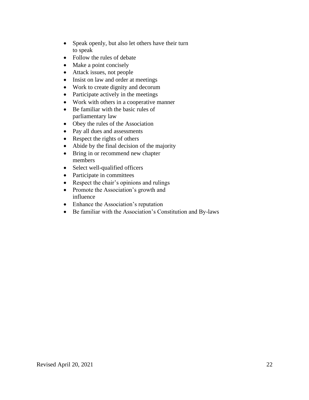- Speak openly, but also let others have their turn to speak
- Follow the rules of debate
- Make a point concisely
- Attack issues, not people
- Insist on law and order at meetings
- Work to create dignity and decorum
- Participate actively in the meetings
- Work with others in a cooperative manner
- Be familiar with the basic rules of parliamentary law
- Obey the rules of the Association
- Pay all dues and assessments
- Respect the rights of others
- Abide by the final decision of the majority
- Bring in or recommend new chapter members
- Select well-qualified officers
- Participate in committees
- Respect the chair's opinions and rulings
- Promote the Association's growth and influence
- Enhance the Association's reputation
- Be familiar with the Association's Constitution and By-laws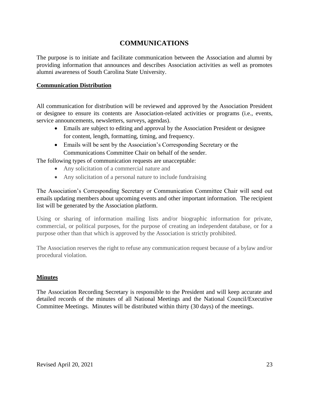# **COMMUNICATIONS**

<span id="page-22-0"></span>The purpose is to initiate and facilitate communication between the Association and alumni by providing information that announces and describes Association activities as well as promotes alumni awareness of South Carolina State University.

#### **Communication Distribution**

All communication for distribution will be reviewed and approved by the Association President or designee to ensure its contents are Association-related activities or programs (i.e., events, service announcements, newsletters, surveys, agendas).

- Emails are subject to editing and approval by the Association President or designee for content, length, formatting, timing, and frequency.
- Emails will be sent by the Association's Corresponding Secretary or the Communications Committee Chair on behalf of the sender.

The following types of communication requests are unacceptable:

- Any solicitation of a commercial nature and
- Any solicitation of a personal nature to include fundraising

The Association's Corresponding Secretary or Communication Committee Chair will send out emails updating members about upcoming events and other important information. The recipient list will be generated by the Association platform.

Using or sharing of information mailing lists and/or biographic information for private, commercial, or political purposes, for the purpose of creating an independent database, or for a purpose other than that which is approved by the Association is strictly prohibited.

The Association reserves the right to refuse any communication request because of a bylaw and/or procedural violation.

## **Minutes**

The Association Recording Secretary is responsible to the President and will keep accurate and detailed records of the minutes of all National Meetings and the National Council/Executive Committee Meetings. Minutes will be distributed within thirty (30 days) of the meetings.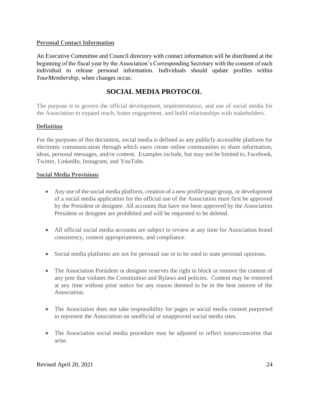## **Personal Contact Information**

An Executive Committee and Council directory with contact information will be distributed at the beginning of the fiscal year by the Association's Corresponding Secretary with the consent of each individual to release personal information. Individuals should update profiles within *YourMembership,* when changes occur.

# **SOCIAL MEDIA PROTOCOL**

<span id="page-23-0"></span>The purpose is to govern the official development, implementation, and use of social media for the Association to expand reach, foster engagement, and build relationships with stakeholders.

## **Definition**

For the purposes of this document, social media is defined as any publicly accessible platform for electronic communication through which users create online communities to share information, ideas, personal messages, and/or content. Examples include, but may not be limited to, Facebook, Twitter, LinkedIn, Instagram, and YouTube.

## **Social Media Provisions**

- Any use of the social media platform, creation of a new profile/page/group, or development of a social media application for the official use of the Association must first be approved by the President or designee. All accounts that have not been approved by the Association President or designee are prohibited and will be requested to be deleted.
- All official social media accounts are subject to review at any time for Association brand consistency, content appropriateness, and compliance.
- Social media platforms are not for personal use or to be used to state personal opinions.
- The Association President or designee reserves the right to block or remove the content of any post that violates the Constitution and Bylaws and policies. Content may be removed at any time without prior notice for any reason deemed to be in the best interest of the Association.
- The Association does not take responsibility for pages or social media content purported to represent the Association on unofficial or unapproved social media sites.
- The Association social media procedure may be adjusted to reflect issues/concerns that arise.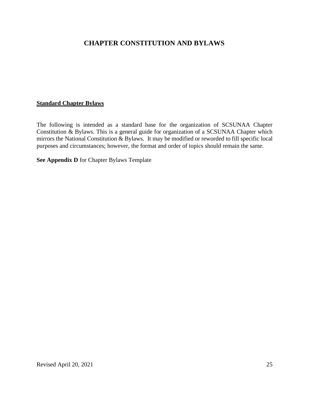# <span id="page-24-0"></span>**CHAPTER CONSTITUTION AND BYLAWS**

#### **Standard Chapter Bylaws**

The following is intended as a standard base for the organization of SCSUNAA Chapter Constitution & Bylaws. This is a general guide for organization of a SCSUNAA Chapter which mirrors the National Constitution & Bylaws. It may be modified or reworded to fill specific local purposes and circumstances; however, the format and order of topics should remain the same.

**See Appendix D** for Chapter Bylaws Template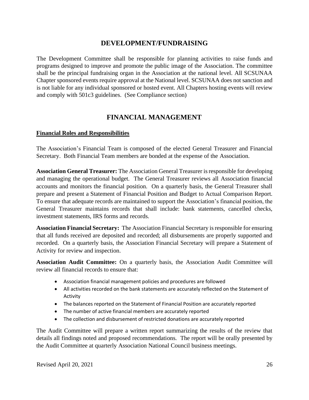# **DEVELOPMENT/FUNDRAISING**

The Development Committee shall be responsible for planning activities to raise funds and programs designed to improve and promote the public image of the Association. The committee shall be the principal fundraising organ in the Association at the national level. All SCSUNAA Chapter sponsored events require approval at the National level. SCSUNAA does not sanction and is not liable for any individual sponsored or hosted event. All Chapters hosting events will review and comply with 501c3 guidelines. (See Compliance section)

# **FINANCIAL MANAGEMENT**

## <span id="page-25-0"></span>**Financial Roles and Responsibilities**

The Association's Financial Team is composed of the elected General Treasurer and Financial Secretary. Both Financial Team members are bonded at the expense of the Association.

**Association General Treasurer:** The Association General Treasurer is responsible for developing and managing the operational budget. The General Treasurer reviews all Association financial accounts and monitors the financial position. On a quarterly basis, the General Treasurer shall prepare and present a Statement of Financial Position and Budget to Actual Comparison Report. To ensure that adequate records are maintained to support the Association's financial position, the General Treasurer maintains records that shall include: bank statements, cancelled checks, investment statements, IRS forms and records.

**Association Financial Secretary:** The Association Financial Secretary is responsible for ensuring that all funds received are deposited and recorded; all disbursements are properly supported and recorded. On a quarterly basis, the Association Financial Secretary will prepare a Statement of Activity for review and inspection.

**Association Audit Committee:** On a quarterly basis, the Association Audit Committee will review all financial records to ensure that:

- Association financial management policies and procedures are followed
- All activities recorded on the bank statements are accurately reflected on the Statement of Activity
- The balances reported on the Statement of Financial Position are accurately reported
- The number of active financial members are accurately reported
- The collection and disbursement of restricted donations are accurately reported

The Audit Committee will prepare a written report summarizing the results of the review that details all findings noted and proposed recommendations. The report will be orally presented by the Audit Committee at quarterly Association National Council business meetings.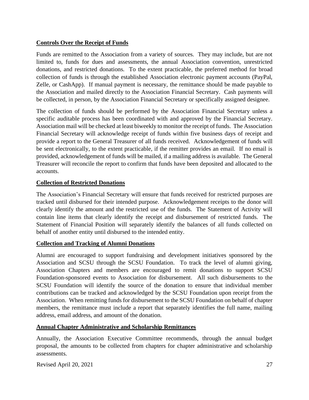## **Controls Over the Receipt of Funds**

Funds are remitted to the Association from a variety of sources. They may include, but are not limited to, funds for dues and assessments, the annual Association convention, unrestricted donations, and restricted donations. To the extent practicable, the preferred method for broad collection of funds is through the established Association electronic payment accounts (PayPal, Zelle, or CashApp). If manual payment is necessary, the remittance should be made payable to the Association and mailed directly to the Association Financial Secretary. Cash payments will be collected, in person, by the Association Financial Secretary or specifically assigned designee.

The collection of funds should be performed by the Association Financial Secretary unless a specific auditable process has been coordinated with and approved by the Financial Secretary. Association mail will be checked at least biweekly to monitor the receipt of funds. The Association Financial Secretary will acknowledge receipt of funds within five business days of receipt and provide a report to the General Treasurer of all funds received. Acknowledgement of funds will be sent electronically, to the extent practicable, if the remitter provides an email. If no email is provided, acknowledgement of funds will be mailed, if a mailing address is available. The General Treasurer will reconcile the report to confirm that funds have been deposited and allocated to the accounts.

## **Collection of Restricted Donations**

The Association's Financial Secretary will ensure that funds received for restricted purposes are tracked until disbursed for their intended purpose. Acknowledgement receipts to the donor will clearly identify the amount and the restricted use of the funds. The Statement of Activity will contain line items that clearly identify the receipt and disbursement of restricted funds. The Statement of Financial Position will separately identify the balances of all funds collected on behalf of another entity until disbursed to the intended entity.

## **Collection and Tracking of Alumni Donations**

Alumni are encouraged to support fundraising and development initiatives sponsored by the Association and SCSU through the SCSU Foundation. To track the level of alumni giving, Association Chapters and members are encouraged to remit donations to support SCSU Foundation-sponsored events to Association for disbursement. All such disbursements to the SCSU Foundation will identify the source of the donation to ensure that individual member contributions can be tracked and acknowledged by the SCSU Foundation upon receipt from the Association. When remitting funds for disbursement to the SCSU Foundation on behalf of chapter members, the remittance must include a report that separately identifies the full name, mailing address, email address, and amount of the donation.

#### **Annual Chapter Administrative and Scholarship Remittances**

Annually, the Association Executive Committee recommends, through the annual budget proposal, the amounts to be collected from chapters for chapter administrative and scholarship assessments.

Revised April 20, 2021 27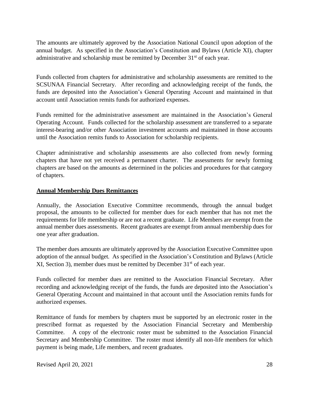The amounts are ultimately approved by the Association National Council upon adoption of the annual budget. As specified in the Association's Constitution and Bylaws (Article XI), chapter administrative and scholarship must be remitted by December 31<sup>st</sup> of each year.

Funds collected from chapters for administrative and scholarship assessments are remitted to the SCSUNAA Financial Secretary. After recording and acknowledging receipt of the funds, the funds are deposited into the Association's General Operating Account and maintained in that account until Association remits funds for authorized expenses.

Funds remitted for the administrative assessment are maintained in the Association's General Operating Account. Funds collected for the scholarship assessment are transferred to a separate interest-bearing and/or other Association investment accounts and maintained in those accounts until the Association remits funds to Association for scholarship recipients.

Chapter administrative and scholarship assessments are also collected from newly forming chapters that have not yet received a permanent charter. The assessments for newly forming chapters are based on the amounts as determined in the policies and procedures for that category of chapters.

## **Annual Membership Dues Remittances**

Annually, the Association Executive Committee recommends, through the annual budget proposal, the amounts to be collected for member dues for each member that has not met the requirements for life membership or are not a recent graduate. Life Members are exempt from the annual member dues assessments. Recent graduates are exempt from annual membership dues for one year after graduation.

The member dues amounts are ultimately approved by the Association Executive Committee upon adoption of the annual budget. As specified in the Association's Constitution and Bylaws (Article XI, Section 3), member dues must be remitted by December  $31<sup>st</sup>$  of each year.

Funds collected for member dues are remitted to the Association Financial Secretary. After recording and acknowledging receipt of the funds, the funds are deposited into the Association's General Operating Account and maintained in that account until the Association remits funds for authorized expenses.

Remittance of funds for members by chapters must be supported by an electronic roster in the prescribed format as requested by the Association Financial Secretary and Membership Committee. A copy of the electronic roster must be submitted to the Association Financial Secretary and Membership Committee. The roster must identify all non-life members for which payment is being made, Life members, and recent graduates.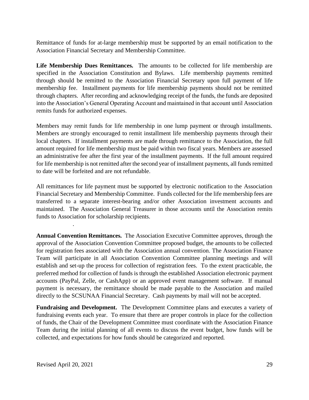Remittance of funds for at-large membership must be supported by an email notification to the Association Financial Secretary and Membership Committee.

**Life Membership Dues Remittances.** The amounts to be collected for life membership are specified in the Association Constitution and Bylaws. Life membership payments remitted through should be remitted to the Association Financial Secretary upon full payment of life membership fee. Installment payments for life membership payments should not be remitted through chapters. After recording and acknowledging receipt of the funds, the funds are deposited into the Association's General Operating Account and maintained in that account until Association remits funds for authorized expenses.

Members may remit funds for life membership in one lump payment or through installments. Members are strongly encouraged to remit installment life membership payments through their local chapters. If installment payments are made through remittance to the Association, the full amount required for life membership must be paid within two fiscal years. Members are assessed an administrative fee after the first year of the installment payments. If the full amount required for life membership is not remitted after the second year of installment payments, all funds remitted to date will be forfeited and are not refundable.

All remittances for life payment must be supported by electronic notification to the Association Financial Secretary and Membership Committee. Funds collected for the life membership fees are transferred to a separate interest-bearing and/or other Association investment accounts and maintained. The Association General Treasurer in those accounts until the Association remits funds to Association for scholarship recipients.

**Annual Convention Remittances.** The Association Executive Committee approves, through the approval of the Association Convention Committee proposed budget, the amounts to be collected for registration fees associated with the Association annual convention. The Association Finance Team will participate in all Association Convention Committee planning meetings and will establish and set-up the process for collection of registration fees. To the extent practicable, the preferred method for collection of funds is through the established Association electronic payment accounts (PayPal, Zelle, or CashApp) or an approved event management software. If manual payment is necessary, the remittance should be made payable to the Association and mailed directly to the SCSUNAA Financial Secretary. Cash payments by mail will not be accepted.

**Fundraising and Development.** The Development Committee plans and executes a variety of fundraising events each year. To ensure that there are proper controls in place for the collection of funds, the Chair of the Development Committee must coordinate with the Association Finance Team during the initial planning of all events to discuss the event budget, how funds will be collected, and expectations for how funds should be categorized and reported.

.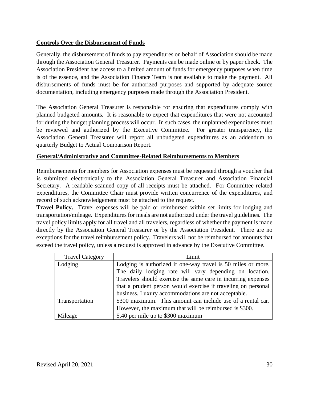## **Controls Over the Disbursement of Funds**

Generally, the disbursement of funds to pay expenditures on behalf of Association should be made through the Association General Treasurer. Payments can be made online or by paper check. The Association President has access to a limited amount of funds for emergency purposes when time is of the essence, and the Association Finance Team is not available to make the payment. All disbursements of funds must be for authorized purposes and supported by adequate source documentation, including emergency purposes made through the Association President.

The Association General Treasurer is responsible for ensuring that expenditures comply with planned budgeted amounts. It is reasonable to expect that expenditures that were not accounted for during the budget planning process will occur. In such cases, the unplanned expenditures must be reviewed and authorized by the Executive Committee. For greater transparency, the Association General Treasurer will report all unbudgeted expenditures as an addendum to quarterly Budget to Actual Comparison Report.

## **General/Administrative and Committee-Related Reimbursements to Members**

Reimbursements for members for Association expenses must be requested through a voucher that is submitted electronically to the Association General Treasurer and Association Financial Secretary. A readable scanned copy of all receipts must be attached. For Committee related expenditures, the Committee Chair must provide written concurrence of the expenditures, and record of such acknowledgement must be attached to the request.

**Travel Policy.** Travel expenses will be paid or reimbursed within set limits for lodging and transportation/mileage. Expenditures for meals are not authorized under the travel guidelines. The travel policy limits apply for all travel and all travelers, regardless of whether the payment is made directly by the Association General Treasurer or by the Association President. There are no exceptions for the travel reimbursement policy. Travelers will not be reimbursed for amounts that exceed the travel policy, unless a request is approved in advance by the Executive Committee.

| <b>Travel Category</b> | Limit                                                                                                                                                                                                                                                     |  |
|------------------------|-----------------------------------------------------------------------------------------------------------------------------------------------------------------------------------------------------------------------------------------------------------|--|
| Lodging                | Lodging is authorized if one-way travel is 50 miles or more.<br>The daily lodging rate will vary depending on location.<br>Travelers should exercise the same care in incurring expenses<br>that a prudent person would exercise if traveling on personal |  |
|                        | business. Luxury accommodations are not acceptable.                                                                                                                                                                                                       |  |
| Transportation         | \$300 maximum. This amount can include use of a rental car.                                                                                                                                                                                               |  |
|                        | However, the maximum that will be reimbursed is \$300.                                                                                                                                                                                                    |  |
| Mileage                | \$.40 per mile up to \$300 maximum                                                                                                                                                                                                                        |  |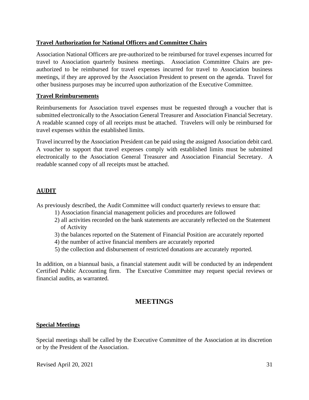## **Travel Authorization for National Officers and Committee Chairs**

Association National Officers are pre-authorized to be reimbursed for travel expenses incurred for travel to Association quarterly business meetings. Association Committee Chairs are preauthorized to be reimbursed for travel expenses incurred for travel to Association business meetings, if they are approved by the Association President to present on the agenda. Travel for other business purposes may be incurred upon authorization of the Executive Committee.

#### **Travel Reimbursements**

Reimbursements for Association travel expenses must be requested through a voucher that is submitted electronically to the Association General Treasurer and Association Financial Secretary. A readable scanned copy of all receipts must be attached. Travelers will only be reimbursed for travel expenses within the established limits.

Travel incurred by the Association President can be paid using the assigned Association debit card. A voucher to support that travel expenses comply with established limits must be submitted electronically to the Association General Treasurer and Association Financial Secretary. A readable scanned copy of all receipts must be attached.

## **AUDIT**

As previously described, the Audit Committee will conduct quarterly reviews to ensure that:

- 1) Association financial management policies and procedures are followed
- 2) all activities recorded on the bank statements are accurately reflected on the Statement of Activity
- 3) the balances reported on the Statement of Financial Position are accurately reported
- 4) the number of active financial members are accurately reported
- 5) the collection and disbursement of restricted donations are accurately reported.

In addition, on a biannual basis, a financial statement audit will be conducted by an independent Certified Public Accounting firm. The Executive Committee may request special reviews or financial audits, as warranted.

## **MEETINGS**

## <span id="page-30-1"></span><span id="page-30-0"></span>**Special Meetings**

Special meetings shall be called by the Executive Committee of the Association at its discretion or by the President of the Association.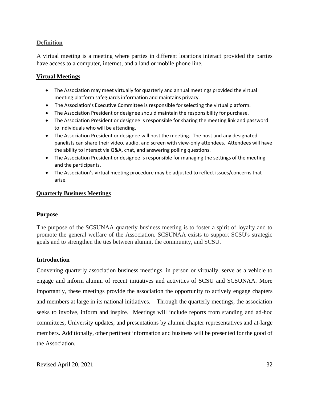#### **Definition**

A virtual meeting is a meeting where parties in different locations interact provided the parties have access to a computer, internet, and a land or mobile phone line.

#### <span id="page-31-0"></span>**Virtual Meetings**

- The Association may meet virtually for quarterly and annual meetings provided the virtual meeting platform safeguards information and maintains privacy.
- The Association's Executive Committee is responsible for selecting the virtual platform.
- The Association President or designee should maintain the responsibility for purchase.
- The Association President or designee is responsible for sharing the meeting link and password to individuals who will be attending.
- The Association President or designee will host the meeting. The host and any designated panelists can share their video, audio, and screen with view-only attendees. Attendees will have the ability to interact via Q&A, chat, and answering polling questions.
- The Association President or designee is responsible for managing the settings of the meeting and the participants.
- The Association's virtual meeting procedure may be adjusted to reflect issues/concerns that arise.

#### <span id="page-31-1"></span>**Quarterly Business Meetings**

#### **Purpose**

The purpose of the SCSUNAA quarterly business meeting is to foster a spirit of loyalty and to promote the general welfare of the Association. SCSUNAA exists to support SCSU's strategic goals and to strengthen the ties between alumni, the community, and SCSU.

#### **Introduction**

Convening quarterly association business meetings, in person or virtually, serve as a vehicle to engage and inform alumni of recent initiatives and activities of SCSU and SCSUNAA. More importantly, these meetings provide the association the opportunity to actively engage chapters and members at large in its national initiatives. Through the quarterly meetings, the association seeks to involve, inform and inspire. Meetings will include reports from standing and ad-hoc committees, University updates, and presentations by alumni chapter representatives and at-large members. Additionally, other pertinent information and business will be presented for the good of the Association.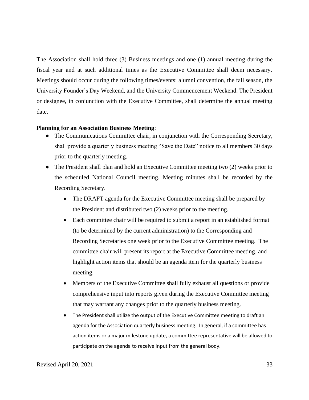The Association shall hold three (3) Business meetings and one (1) annual meeting during the fiscal year and at such additional times as the Executive Committee shall deem necessary. Meetings should occur during the following times/events: alumni convention, the fall season, the University Founder's Day Weekend, and the University Commencement Weekend. The President or designee, in conjunction with the Executive Committee, shall determine the annual meeting date.

#### <span id="page-32-0"></span>**Planning for an Association Business Meeting**:

- The Communications Committee chair, in conjunction with the Corresponding Secretary, shall provide a quarterly business meeting "Save the Date" notice to all members 30 days prior to the quarterly meeting.
- The President shall plan and hold an Executive Committee meeting two (2) weeks prior to the scheduled National Council meeting. Meeting minutes shall be recorded by the Recording Secretary.
	- The DRAFT agenda for the Executive Committee meeting shall be prepared by the President and distributed two (2) weeks prior to the meeting.
	- Each committee chair will be required to submit a report in an established format (to be determined by the current administration) to the Corresponding and Recording Secretaries one week prior to the Executive Committee meeting. The committee chair will present its report at the Executive Committee meeting, and highlight action items that should be an agenda item for the quarterly business meeting.
	- Members of the Executive Committee shall fully exhaust all questions or provide comprehensive input into reports given during the Executive Committee meeting that may warrant any changes prior to the quarterly business meeting.
	- The President shall utilize the output of the Executive Committee meeting to draft an agenda for the Association quarterly business meeting. In general, if a committee has action items or a major milestone update, a committee representative will be allowed to participate on the agenda to receive input from the general body.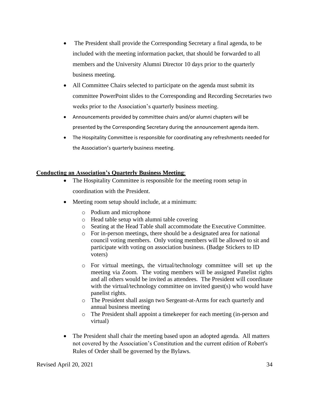- The President shall provide the Corresponding Secretary a final agenda, to be included with the meeting information packet, that should be forwarded to all members and the University Alumni Director 10 days prior to the quarterly business meeting.
- All Committee Chairs selected to participate on the agenda must submit its committee PowerPoint slides to the Corresponding and Recording Secretaries two weeks prior to the Association's quarterly business meeting.
- Announcements provided by committee chairs and/or alumni chapters will be presented by the Corresponding Secretary during the announcement agenda item.
- The Hospitality Committee is responsible for coordinating any refreshments needed for the Association's quarterly business meeting.

#### <span id="page-33-0"></span>**Conducting an Association's Quarterly Business Meeting**:

- The Hospitality Committee is responsible for the meeting room setup in coordination with the President.
- Meeting room setup should include, at a minimum:
	- o Podium and microphone
	- o Head table setup with alumni table covering
	- o Seating at the Head Table shall accommodate the Executive Committee.
	- o For in-person meetings, there should be a designated area for national council voting members. Only voting members will be allowed to sit and participate with voting on association business. (Badge Stickers to ID voters)
	- o For virtual meetings, the virtual/technology committee will set up the meeting via Zoom. The voting members will be assigned Panelist rights and all others would be invited as attendees. The President will coordinate with the virtual/technology committee on invited guest(s) who would have panelist rights.
	- o The President shall assign two Sergeant-at-Arms for each quarterly and annual business meeting
	- o The President shall appoint a timekeeper for each meeting (in-person and virtual)
- The President shall chair the meeting based upon an adopted agenda. All matters not covered by the Association's Constitution and the current edition of Robert's Rules of Order shall be governed by the Bylaws.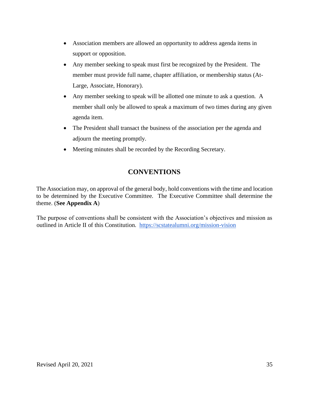- Association members are allowed an opportunity to address agenda items in support or opposition.
- Any member seeking to speak must first be recognized by the President. The member must provide full name, chapter affiliation, or membership status (At-Large, Associate, Honorary).
- Any member seeking to speak will be allotted one minute to ask a question. A member shall only be allowed to speak a maximum of two times during any given agenda item.
- The President shall transact the business of the association per the agenda and adjourn the meeting promptly.
- Meeting minutes shall be recorded by the Recording Secretary.

# **CONVENTIONS**

<span id="page-34-0"></span>The Association may, on approval of the general body, hold conventions with the time and location to be determined by the Executive Committee. The Executive Committee shall determine the theme. (**See Appendix A**)

The purpose of conventions shall be consistent with the Association's objectives and mission as outlined in Article II of this Constitution. <https://scstatealumni.org/mission-vision>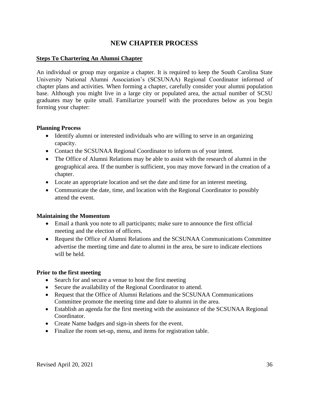# **NEW CHAPTER PROCESS**

#### <span id="page-35-0"></span>**Steps To Chartering An Alumni Chapter**

An individual or group may organize a chapter. It is required to keep the South Carolina State University National Alumni Association's (SCSUNAA) Regional Coordinator informed of chapter plans and activities. When forming a chapter, carefully consider your alumni population base. Although you might live in a large city or populated area, the actual number of SCSU graduates may be quite small. Familiarize yourself with the procedures below as you begin forming your chapter:

#### **Planning Process**

- Identify alumni or interested individuals who are willing to serve in an organizing capacity.
- Contact the SCSUNAA Regional Coordinator to inform us of your intent.
- The Office of Alumni Relations may be able to assist with the research of alumni in the geographical area. If the number is sufficient, you may move forward in the creation of a chapter.
- Locate an appropriate location and set the date and time for an interest meeting.
- Communicate the date, time, and location with the Regional Coordinator to possibly attend the event.

## **Maintaining the Momentum**

- Email a thank you note to all participants; make sure to announce the first official meeting and the election of officers.
- Request the Office of Alumni Relations and the SCSUNAA Communications Committee advertise the meeting time and date to alumni in the area, be sure to indicate elections will be held.

## **Prior to the first meeting**

- Search for and secure a venue to host the first meeting
- Secure the availability of the Regional Coordinator to attend.
- Request that the Office of Alumni Relations and the SCSUNAA Communications Committee promote the meeting time and date to alumni in the area.
- Establish an agenda for the first meeting with the assistance of the SCSUNAA Regional Coordinator.
- Create Name badges and sign-in sheets for the event.
- Finalize the room set-up, menu, and items for registration table.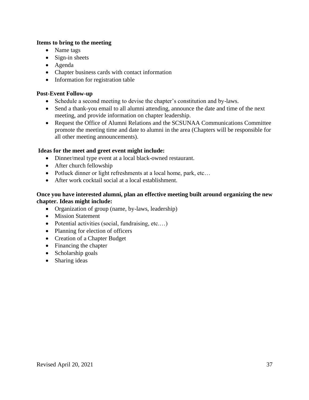## **Items to bring to the meeting**

- Name tags
- Sign-in sheets
- Agenda
- Chapter business cards with contact information
- Information for registration table

## **Post-Event Follow-up**

- Schedule a second meeting to devise the chapter's constitution and by-laws.
- Send a thank-you email to all alumni attending, announce the date and time of the next meeting, and provide information on chapter leadership.
- Request the Office of Alumni Relations and the SCSUNAA Communications Committee promote the meeting time and date to alumni in the area (Chapters will be responsible for all other meeting announcements).

#### **Ideas for the meet and greet event might include:**

- Dinner/meal type event at a local black-owned restaurant.
- After church fellowship
- Potluck dinner or light refreshments at a local home, park, etc...
- After work cocktail social at a local establishment.

### **Once you have interested alumni, plan an effective meeting built around organizing the new chapter. Ideas might include:**

- Organization of group (name, by-laws, leadership)
- Mission Statement
- Potential activities (social, fundraising, etc.…)
- Planning for election of officers
- Creation of a Chapter Budget
- Financing the chapter
- Scholarship goals
- Sharing ideas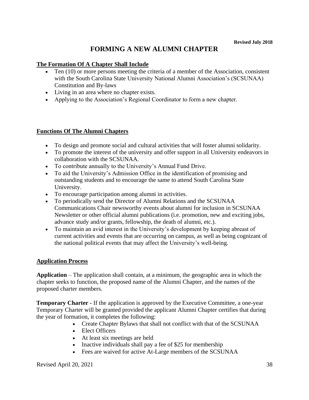# **FORMING A NEW ALUMNI CHAPTER**

#### **The Formation Of A Chapter Shall Include**

- Ten (10) or more persons meeting the criteria of a member of the Association, consistent with the South Carolina State University National Alumni Association's (SCSUNAA) Constitution and By-laws
- Living in an area where no chapter exists.
- Applying to the Association's Regional Coordinator to form a new chapter.

### **Functions Of The Alumni Chapters**

- To design and promote social and cultural activities that will foster alumni solidarity.
- To promote the interest of the university and offer support in all University endeavors in collaboration with the SCSUNAA.
- To contribute annually to the University's Annual Fund Drive.
- To aid the University's Admission Office in the identification of promising and outstanding students and to encourage the same to attend South Carolina State University.
- To encourage participation among alumni in activities.
- To periodically send the Director of Alumni Relations and the SCSUNAA Communications Chair newsworthy events about alumni for inclusion in SCSUNAA Newsletter or other official alumni publications (i.e. promotion, new and exciting jobs, advance study and/or grants, fellowship, the death of alumni, etc.).
- To maintain an avid interest in the University's development by keeping abreast of current activities and events that are occurring on campus, as well as being cognizant of the national political events that may affect the University's well-being.

#### **Application Process**

**Application** – The application shall contain, at a minimum, the geographic area in which the chapter seeks to function, the proposed name of the Alumni Chapter, and the names of the proposed charter members.

**Temporary Charter -** If the application is approved by the Executive Committee, a one-year Temporary Charter will be granted provided the applicant Alumni Chapter certifies that during the year of formation, it completes the following:

- Create Chapter Bylaws that shall not conflict with that of the SCSUNAA
- Elect Officers
- At least six meetings are held
- Inactive individuals shall pay a fee of \$25 for membership
- Fees are waived for active At-Large members of the SCSUNAA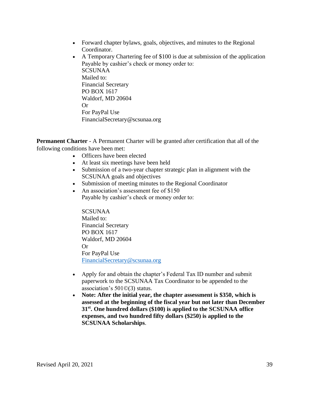- Forward chapter bylaws, goals, objectives, and minutes to the Regional Coordinator.
- A Temporary Chartering fee of \$100 is due at submission of the application Payable by cashier's check or money order to: SCSUNAA Mailed to: Financial Secretary PO BOX 1617 Waldorf, MD 20604 Or For PayPal Use FinancialSecretary@scsunaa.org

**Permanent Charter** - A Permanent Charter will be granted after certification that all of the following conditions have been met:

- Officers have been elected
- At least six meetings have been held
- Submission of a two-year chapter strategic plan in alignment with the SCSUNAA goals and objectives
- Submission of meeting minutes to the Regional Coordinator
- An association's assessment fee of \$150 Payable by cashier's check or money order to:

SCSUNAA Mailed to: Financial Secretary PO BOX 1617 Waldorf, MD 20604 Or For PayPal Use [FinancialSecretary@scsunaa.org](mailto:FinancialSecretary@scsunaa.org)

- Apply for and obtain the chapter's Federal Tax ID number and submit paperwork to the SCSUNAA Tax Coordinator to be appended to the association's 501©(3) status.
- **Note: After the initial year, the chapter assessment is \$350, which is assessed at the beginning of the fiscal year but not later than December 31st. One hundred dollars (\$100) is applied to the SCSUNAA office expenses, and two hundred fifty dollars (\$250) is applied to the SCSUNAA Scholarships**.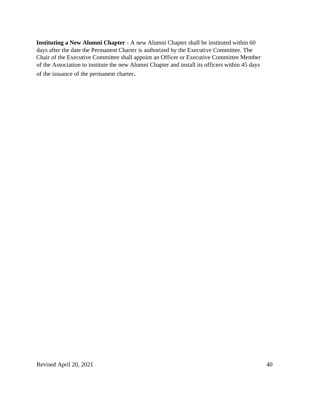**Instituting a New Alumni Chapter** - A new Alumni Chapter shall be instituted within 60 days after the date the Permanent Charter is authorized by the Executive Committee. The Chair of the Executive Committee shall appoint an Officer or Executive Committee Member of the Association to institute the new Alumni Chapter and install its officers within 45 days of the issuance of the permanent charter.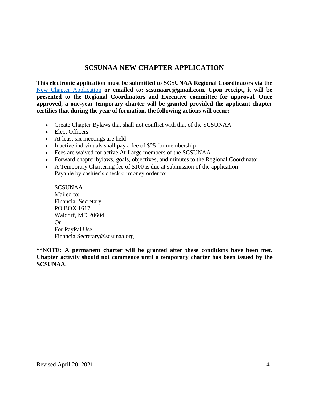# **SCSUNAA NEW CHAPTER APPLICATION**

**This electronic application must be submitted to SCSUNAA Regional Coordinators via the**  [New Chapter Application](https://forms.gle/JDDYeL16CujTDjAz8) **or emailed to: scsunaarc@gmail.com. Upon receipt, it will be presented to the Regional Coordinators and Executive committee for approval. Once approved, a one-year temporary charter will be granted provided the applicant chapter certifies that during the year of formation, the following actions will occur:**

- Create Chapter Bylaws that shall not conflict with that of the SCSUNAA
- Elect Officers
- At least six meetings are held
- Inactive individuals shall pay a fee of \$25 for membership
- Fees are waived for active At-Large members of the SCSUNAA
- Forward chapter bylaws, goals, objectives, and minutes to the Regional Coordinator.
- A Temporary Chartering fee of \$100 is due at submission of the application Payable by cashier's check or money order to:

SCSUNAA Mailed to: Financial Secretary PO BOX 1617 Waldorf, MD 20604 Or For PayPal Use FinancialSecretary@scsunaa.org

**\*\*NOTE: A permanent charter will be granted after these conditions have been met. Chapter activity should not commence until a temporary charter has been issued by the SCSUNAA.**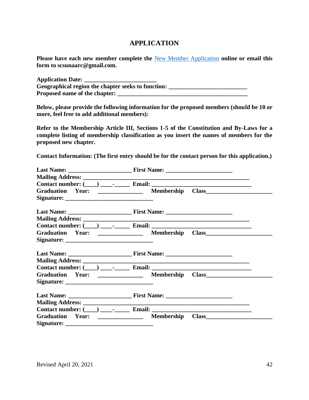# **APPLICATION**

**Please have each new member complete the** [New Member Application](https://forms.gle/TkpKA1J6Sd5uHiMb8) **online or email this form to scsunaarc@gmail.com.**

| <b>Application Date:</b>                           |  |
|----------------------------------------------------|--|
| Geographical region the chapter seeks to function: |  |
| <b>Proposed name of the chapter:</b>               |  |

**Below, please provide the following information for the proposed members (should be 10 or more, feel free to add additional members):**

**Refer to the Membership Article III, Sections 1-5 of the Constitution and By-Laws for a complete listing of membership classification as you insert the names of members for the proposed new chapter.**

**Contact Information: (The first entry should be for the contact person for this application.)**

|                                | Contact number: $(\_\_\_\_\_\_\_\$ Email: $\_\_\_\_\_\_\_\_\_\$                   |  |
|--------------------------------|-----------------------------------------------------------------------------------|--|
| Graduation Year:               |                                                                                   |  |
|                                |                                                                                   |  |
|                                |                                                                                   |  |
|                                | Contact number: $(\_\_) \_\_\_$ - $\_\_$ Email: $\_\_$                            |  |
| Graduation Year: _____________ | Membership Class                                                                  |  |
|                                |                                                                                   |  |
|                                |                                                                                   |  |
|                                |                                                                                   |  |
|                                | Contact number: $(\_\_) \_\_\_$ - $\_\_$ Email: $\_\_$                            |  |
|                                | Graduation Year: _____________ Membership Class__________________________________ |  |
|                                |                                                                                   |  |
|                                |                                                                                   |  |
|                                |                                                                                   |  |
|                                | Contact number: $(\_\_) \_\_\_$ - $\_\_$ Email: $\_\_$                            |  |
| <b>Graduation Year:</b>        | <b>Membership</b><br><u> 1980 - Johann Barbara, martin a</u>                      |  |
|                                |                                                                                   |  |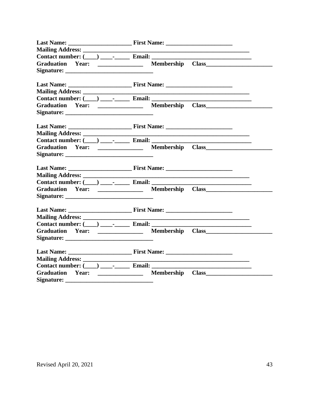|                                                 | Contact number: $(\_\_) \_\_\_$ - $\_\_$ Email: $\_\_$                            |
|-------------------------------------------------|-----------------------------------------------------------------------------------|
|                                                 | Graduation Year: _____________ Membership Class__________________________________ |
|                                                 |                                                                                   |
|                                                 |                                                                                   |
|                                                 |                                                                                   |
|                                                 |                                                                                   |
|                                                 | Contact number: $(\_\_\_\_\_$ $\_\_\_$ Email:                                     |
|                                                 | Graduation Year: _____________ Membership Class__________________________________ |
|                                                 |                                                                                   |
|                                                 |                                                                                   |
|                                                 |                                                                                   |
|                                                 |                                                                                   |
|                                                 | Contact number: $(\_\_\_\_\_\$ Fmail:                                             |
|                                                 |                                                                                   |
|                                                 |                                                                                   |
|                                                 |                                                                                   |
|                                                 |                                                                                   |
|                                                 |                                                                                   |
|                                                 | Contact number: $(\_\_\_\_\_\_\$ Email: $\_\_\_\_\_\_\_\_\$                       |
|                                                 | Graduation Year: ______________ Membership Class________________________________  |
|                                                 |                                                                                   |
|                                                 |                                                                                   |
|                                                 |                                                                                   |
|                                                 | Contact number: $(\_\_) \_\_\_$ - $\_\_$ Email: $\_\_$                            |
|                                                 | Graduation Year: _____________ Membership Class__________________________________ |
|                                                 |                                                                                   |
|                                                 |                                                                                   |
|                                                 |                                                                                   |
|                                                 |                                                                                   |
| Contact number: $(\_\_) \_\_\_$ . Email: $\_\_$ |                                                                                   |
| Graduation Year: _____________                  |                                                                                   |
|                                                 |                                                                                   |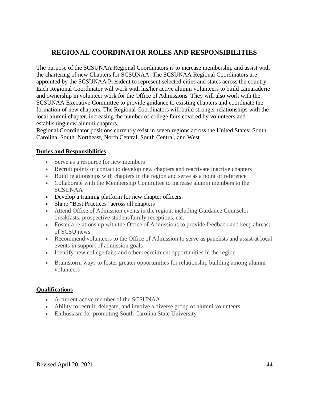# **REGIONAL COORDINATOR ROLES AND RESPONSIBILITIES**

The purpose of the SCSUNAA Regional Coordinators is to increase membership and assist with the chartering of new Chapters for SCSUNAA. The SCSUNAA Regional Coordinators are appointed by the SCSUNAA President to represent selected cities and states across the country. Each Regional Coordinator will work with his/her active alumni volunteers to build camaraderie and ownership in volunteer work for the Office of Admissions. They will also work with the SCSUNAA Executive Committee to provide guidance to existing chapters and coordinate the formation of new chapters. The Regional Coordinators will build stronger relationships with the local alumni chapter, increasing the number of college fairs covered by volunteers and establishing new alumni chapters.

Regional Coordinator positions currently exist in seven regions across the United States: South Carolina, South, Northeast, North Central, South Central, and West.

### **Duties and Responsibilities**

- Serve as a resource for new members
- Recruit points of contact to develop new chapters and reactivate inactive chapters
- Build relationships with chapters in the region and serve as a point of reference
- Collaborate with the Membership Committee to increase alumni members to the SCSUNAA
- Develop a training platform for new chapter officers.
- Share "Best Practices" across all chapters
- Attend Office of Admission events in the region; including Guidance Counselor breakfasts, prospective student/family receptions, etc.
- Foster a relationship with the Office of Admissions to provide feedback and keep abreast of SCSU news
- Recommend volunteers to the Office of Admission to serve as panelists and assist at local events in support of admission goals
- Identify new college fairs and other recruitment opportunities in the region
- Brainstorm ways to foster greater opportunities for relationship building among alumni volunteers

#### **Qualifications**

- A current active member of the SCSUNAA
- Ability to recruit, delegate, and involve a diverse group of alumni volunteers
- Enthusiasm for promoting South Carolina State University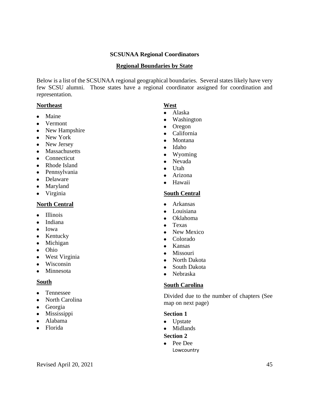## **SCSUNAA Regional Coordinators**

#### **Regional Boundaries by State**

Below is a list of the SCSUNAA regional geographical boundaries. Several states likely have very few SCSU alumni. Those states have a regional coordinator assigned for coordination and representation.

#### **Northeast**

- Maine
- Vermont
- New Hampshire
- New York
- New Jersey
- Massachusetts
- Connecticut
- Rhode Island
- Pennsylvania
- Delaware
- Maryland
- Virginia

# **North Central**

- Illinois
- Indiana
- Iowa
- Kentucky
- Michigan
- Ohio
- West Virginia
- Wisconsin
- Minnesota

## **South**

- Tennessee
- North Carolina
- Georgia
- Mississippi
- Alabama
- Florida

## **West**

- Alaska
- Washington
- Oregon
- California
- Montana
- Idaho
- Wyoming
- Nevada
- Utah
- Arizona
- Hawaii

# **South Central**

- Arkansas
- Louisiana
- Oklahoma
- Texas
- New Mexico
- Colorado
- Kansas
- Missouri
- North Dakota
- South Dakota
- Nebraska

## **South Carolina**

Divided due to the number of chapters (See map on next page)

#### **Section 1**

- Upstate
- Midlands

# **Section 2**

● Pee Dee Lowcountry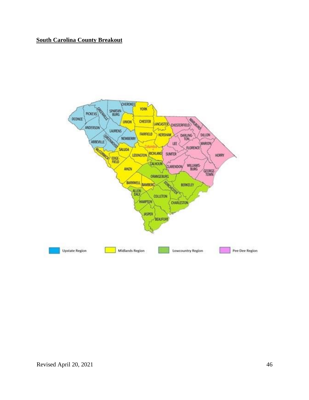# **South Carolina County Breakout**

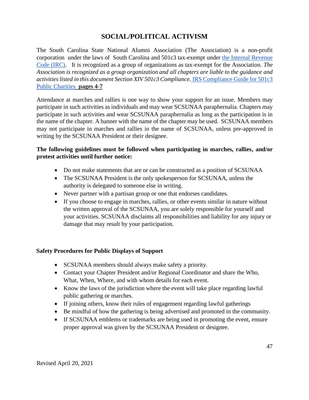# **SOCIAL/POLITICAL ACTIVISM**

The South Carolina State National Alumni Association (The Association) is a non-profit corporation under the laws of South Carolina and 501c3 tax-exempt unde[r](http://frwebgate.access.gpo.gov/cgi-bin/getdoc.cgi?dbname=browse_usc&docid=Cite:+26USC501) [the Internal Revenue](http://frwebgate.access.gpo.gov/cgi-bin/getdoc.cgi?dbname=browse_usc&docid=Cite:+26USC501)  [Code \(IRC\).](http://frwebgate.access.gpo.gov/cgi-bin/getdoc.cgi?dbname=browse_usc&docid=Cite:+26USC501) It is recognized as a group of organizations as tax-exempt for the Association. *The Association is recognized as a group organization and all chapters are liable to the guidance and activities listed in this document Section XIV 501c3 Compliance.* [IRS Compliance Guide for 501c3](https://www.irs.gov/pub/irs-pdf/p4221pc.pdf)  [Public Charities](https://www.irs.gov/pub/irs-pdf/p4221pc.pdf) **pages 4-7**

Attendance at marches and rallies is one way to show your support for an issue. Members may participate in such activities as individuals and may wear SCSUNAA paraphernalia. Chapters may participate in such activities and wear SCSUNAA paraphernalia as long as the participation is in the name of the chapter. A banner with the name of the chapter may be used. SCSUNAA members may not participate in marches and rallies in the name of SCSUNAA, unless pre-approved in writing by the SCSUNAA President or their designee.

## **The following guidelines must be followed when participating in marches, rallies, and/or protest activities until further notice:**

- Do not make statements that are or can be constructed as a position of SCSUNAA
- The SCSUNAA President is the only spokesperson for SCSUNAA, unless the authority is delegated to someone else in writing.
- Never partner with a partisan group or one that endorses candidates.
- If you choose to engage in marches, rallies, or other events similar in nature without the written approval of the SCSUNAA, you are solely responsible for yourself and your activities. SCSUNAA disclaims all responsibilities and liability for any injury or damage that may result by your participation.

# **Safety Procedures for Public Displays of Support**

- SCSUNAA members should always make safety a priority.
- Contact your Chapter President and/or Regional Coordinator and share the Who, What, When, Where, and with whom details for each event.
- Know the laws of the jurisdiction where the event will take place regarding lawful public gathering or marches.
- If joining others, know their rules of engagement regarding lawful gatherings
- Be mindful of how the gathering is being advertised and promoted in the community.
- If SCSUNAA emblems or trademarks are being used in promoting the event, ensure proper approval was given by the SCSUNAA President or designee.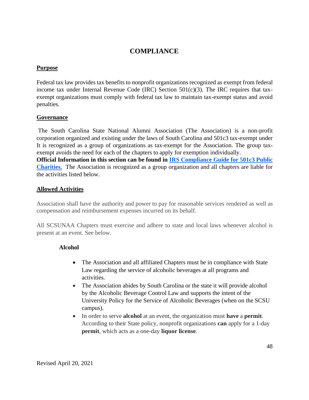# **COMPLIANCE**

## **Purpose**

Federal tax law provides tax benefits to nonprofit organizations recognized as exempt from federal income tax under Internal Revenue Code (IRC) Section  $501(c)(3)$ . The IRC requires that taxexempt organizations must comply with federal tax law to maintain tax-exempt status and avoid penalties.

## **Governance**

The South Carolina State National Alumni Association (The Association) is a non-profit corporation organized and existing under the laws of South Carolina and 501c3 tax-exempt unde[r](http://frwebgate.access.gpo.gov/cgi-bin/getdoc.cgi?dbname=browse_usc&docid=Cite:+26USC501) It is recognized as a group of organizations as tax-exempt for the Association. The group taxexempt avoids the need for each of the chapters to apply for exemption individually. **Official Information in this section can be found i[n](https://www.irs.gov/pub/irs-pdf/p4221pc.pdf) [IRS Compliance Guide for 501c3 Public](https://www.irs.gov/pub/irs-pdf/p4221pc.pdf)  [Charities.](https://www.irs.gov/pub/irs-pdf/p4221pc.pdf)** The Association is recognized as a group organization and all chapters are liable for the activities listed below.

# **Allowed Activities**

Association shall have the authority and power to pay for reasonable services rendered as well as compensation and reimbursement expenses incurred on its behalf.

All SCSUNAA Chapters must exercise and adhere to state and local laws whenever alcohol is present at an event. See below.

# **Alcohol**

- The Association and all affiliated Chapters must be in compliance with State Law regarding the service of alcoholic beverages at all programs and activities.
- The Association abides by South Carolina or the state it will provide alcohol by the Alcoholic Beverage Control Law and supports the intent of the University Policy for the Service of Alcoholic Beverages (when on the SCSU campus).
- In order to serve **alcohol** at an event, the organization must **have** a **permit**. According to their State policy, nonprofit organizations **can** apply for a 1-day **permit**, which acts as a one-day **liquor license**.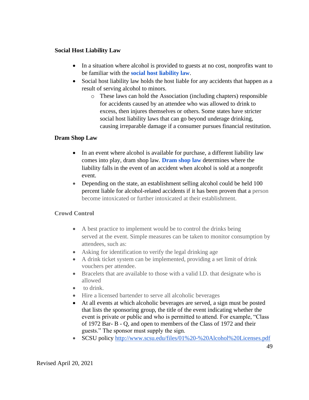## **Social Host Liability Law**

- In a situation where alcohol is provided to guests at no cost, nonprofits want to be familiar with th[e](https://insurancefornonprofits.org/liquor-liability-101-how-to-serve-alcohol-at-your-nonprofit-events/) **[s](https://insurancefornonprofits.org/liquor-liability-101-how-to-serve-alcohol-at-your-nonprofit-events/)[ocial host liability law](https://insurancefornonprofits.org/?s=social+host+liability+law)**.
- Social host liability law holds the host liable for any accidents that happen as a result of serving alcohol to minors.
	- o These laws can hold the Association (including chapters) responsible for accidents caused by an attendee who was allowed to drink to excess, then injures themselves or others. Some states have stricter social host liability laws that can go beyond underage drinking, causing irreparable damage if a consumer pursues financial restitution.

# **Dram Shop Law**

- In an event where alcohol is available for purchase, a different liability law comes into play, dram shop law[.](https://insurancefornonprofits.org/?s=dram+shop+law) **[Dram shop law](https://insurancefornonprofits.org/?s=dram+shop+law)** determines where the liability falls in the event of an accident when alcohol is sold at a nonprofit event.
- Depending on the state, an establishment selling alcohol could be held 100 percent liable for alcohol-related accidents if it has been proven that a person become intoxicated or further intoxicated at their establishment.

# **Crowd Control**

- A best practice to implement would be to control the drinks being served at the event. Simple measures can be taken to monitor consumption by attendees, such as:
- Asking for identification to verify the legal drinking age
- A drink ticket system can be implemented, providing a set limit of drink vouchers per attendee.
- Bracelets that are available to those with a valid I.D. that designate who is allowed
- to drink.
- Hire a licensed bartender to serve all alcoholic beverages
- At all events at which alcoholic beverages are served, a sign must be posted that lists the sponsoring group, the title of the event indicating whether the event is private or public and who is permitted to attend. For example, "Class of 1972 Bar- B - Q, and open to members of the Class of 1972 and their guests." The sponsor must supply the sign.
- SCSU polic[y](http://www.scsu.edu/files/01%20-%20Alcohol%20Licenses.pdf) <http://www.scsu.edu/files/01%20-%20Alcohol%20Licenses.pdf>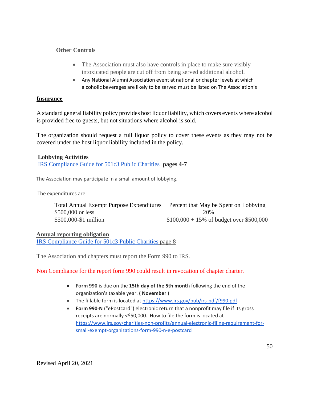## **Other Controls**

- The Association must also have controls in place to make sure visibly intoxicated people are cut off from being served additional alcohol.
- Any National Alumni Association event at national or chapter levels at which alcoholic beverages are likely to be served must be listed on The Association's

#### **Insurance**

A standard general liability policy provides host liquor liability, which covers events where alcohol is provided free to guests, but not situations where alcohol is sold.

The organization should request a full liquor policy to cover these events as they may not be covered under the host liquor liability included in the policy.

### **Lobbying Activities**

[IRS Compliance Guide for 501c3 Public Charities](https://www.irs.gov/pub/irs-pdf/p4221pc.pdf) **pages 4-7**

The Association may participate in a small amount of lobbying.

The expenditures are:

| Total Annual Exempt Purpose Expenditures Percent that May be Spent on Lobbying |                                            |
|--------------------------------------------------------------------------------|--------------------------------------------|
| \$500,000 or less                                                              | 20%                                        |
| \$500,000-\$1 million                                                          | $$100,000 + 15\%$ of budget over \$500,000 |

#### **Annual reporting obligation**

[IRS Compliance Guide for 501c3 Public Charities](https://www.irs.gov/pub/irs-pdf/p4221pc.pdf) page 8

The Association and chapters must report the Form 990 to IRS.

Non Compliance for the report form 990 could result in revocation of chapter charter.

- **Form 990** is due on the **15th day of the 5th mont**h following the end of the organization's taxable year. **( November** )
- The fillable form is located at [https://www.irs.gov/pub/irs-pdf/f990.pdf.](https://www.irs.gov/pub/irs-pdf/f990.pdf)
- **Form 990**-**N** ("ePostcard") electronic return that a nonprofit may file if its gross receipts are normally <\$50,000. How to file the form is located a[t](https://www.irs.gov/charities-non-profits/annual-electronic-filing-requirement-for-small-exempt-organizations-form-990-n-e-postcard) [https://www.irs.gov/charities-non-profits/annual-electronic-filing-requirement-for](https://www.irs.gov/charities-non-profits/annual-electronic-filing-requirement-for-small-exempt-organizations-form-990-n-e-postcard)[small-exempt-organizations-form-990-n-e-postcard](https://www.irs.gov/charities-non-profits/annual-electronic-filing-requirement-for-small-exempt-organizations-form-990-n-e-postcard)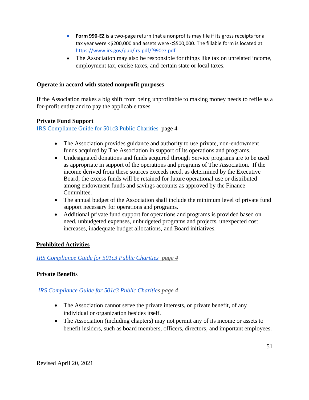- **Form 990**-**EZ** is a two-page return that a nonprofits may file if its gross receipts for a tax year were <\$200,000 and assets were <\$500,000. The fillable form is located a[t](https://www.irs.gov/pub/irs-pdf/f990ez.pdf) <https://www.irs.gov/pub/irs-pdf/f990ez.pdf>
- The Association may also be responsible for things like tax on unrelated income, employment tax, excise taxes, and certain state or local taxes.

## **Operate in accord with stated nonprofit purposes**

If the Association makes a big shift from being unprofitable to making money needs to refile as a for-profit entity and to pay the applicable taxes.

## **Private Fund Support**

[IRS Compliance Guide for 501c3 Public Charities](https://www.irs.gov/pub/irs-pdf/p4221pc.pdf) page 4

- The Association provides guidance and authority to use private, non-endowment funds acquired by The Association in support of its operations and programs.
- Undesignated donations and funds acquired through Service programs are to be used as appropriate in support of the operations and programs of The Association. If the income derived from these sources exceeds need, as determined by the Executive Board, the excess funds will be retained for future operational use or distributed among endowment funds and savings accounts as approved by the Finance Committee.
- The annual budget of the Association shall include the minimum level of private fund support necessary for operations and programs.
- Additional private fund support for operations and programs is provided based on need, unbudgeted expenses, unbudgeted programs and projects, unexpected cost increases, inadequate budget allocations, and Board initiatives.

## **Prohibited Activities**

*[IRS Compliance Guide for 501c3 Public Charities](https://www.irs.gov/pub/irs-pdf/p4221pc.pdf) page 4*

# **Private Benefit**s

## *[IRS Compliance Guide for 501c3 Public Charities](https://www.irs.gov/pub/irs-pdf/p4221pc.pdf) page 4*

- The Association cannot serve the private interests, or private benefit, of any individual or organization besides itself.
- The Association (including chapters) may not permit any of its income or assets to benefit insiders, such as board members, officers, directors, and important employees.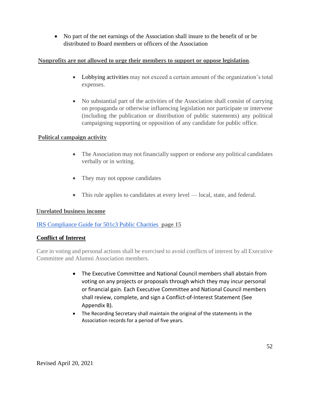• No part of the net earnings of the Association shall insure to the benefit of or be distributed to Board members or officers of the Association

# **Nonprofits are not allowed to urge their members to support or oppose legislation***.*

- [Lobbying activities](https://www.ncoa.org/public-policy-action/advocacy-toolkit/advocacy-basics/nonprofit-advocacy-rules-regulations/) may not exceed a certain amount of the organization's total expenses.
- No substantial part of the activities of the Association shall consist of carrying on propaganda or otherwise influencing legislation nor participate or intervene (including the publication or distribution of public statements) any political campaigning supporting or opposition of any candidate for public office*.*

# **Political campaign activity**

- The Association may not financially support or endorse any political candidates verbally or in writing.
- They may not oppose candidates
- This rule applies to candidates at every level local, state, and federal.

## **Unrelated business income**

## [IRS Compliance Guide for 501c3 Public Charities](https://www.irs.gov/pub/irs-pdf/p4221pc.pdf) **page 15**

## **Conflict of Interest**

Care in voting and personal actions shall be exercised to avoid conflicts of interest by all Executive Committee and Alumni Association members.

- The Executive Committee and National Council members shall abstain from voting on any projects or proposals through which they may incur personal or financial gain. Each Executive Committee and National Council members shall review, complete, and sign a Conflict-of-Interest Statement (See Appendix B).
- The Recording Secretary shall maintain the original of the statements in the Association records for a period of five years.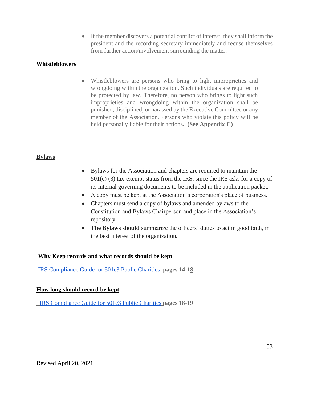• If the member discovers a potential conflict of interest, they shall inform the president and the recording secretary immediately and recuse themselves from further action/involvement surrounding the matter.

## **Whistleblowers**

• Whistleblowers are persons who bring to light improprieties and wrongdoing within the organization. Such individuals are required to be protected by law. Therefore, no person who brings to light such improprieties and wrongdoing within the organization shall be punished, disciplined, or harassed by the Executive Committee or any member of the Association. Persons who violate this policy will be held personally liable for their actions**. (See Appendix C)**

### **Bylaws**

- Bylaws for the Association and chapters are required to maintain the 501(c) (3) tax-exempt status from the IRS, since the IRS asks for a copy of its internal governing documents to be included in the application packet.
- A copy must be kept at the Association's corporation's place of business.
- Chapters must send a copy of bylaws and amended bylaws to the Constitution and Bylaws Chairperson and place in the Association's repository.
- **The Bylaws should** summarize the officers' duties to act in good faith, in the best interest of the organization*.*

## **Why Keep records and what records should be kept**

[IRS Compliance Guide for 501c3 Public Charities](https://www.irs.gov/pub/irs-pdf/p4221pc.pdf) **pages 14-18**

#### **How long should record be kept**

[IRS Compliance Guide for 501c3 Public Charities](https://www.irs.gov/pub/irs-pdf/p4221pc.pdf) **pages 18-19**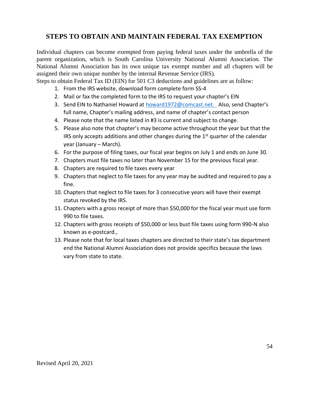# **STEPS TO OBTAIN AND MAINTAIN FEDERAL TAX EXEMPTION**

Individual chapters can become exempted from paying federal taxes under the umbrella of the parent organization, which is South Carolina University National Alumni Association. The National Alumni Association has its own unique tax exempt number and all chapters will be assigned their own unique number by the internal Revenue Service (IRS).

Steps to obtain Federal Tax ID (EIN) for 501 C3 deductions and guidelines are as follow:

- 1. From the IRS website, download form complete form SS-4
- 2. Mail or fax the completed form to the IRS to request your chapter's EIN
- 3. Send EIN to Nathaniel Howard at [howard1972@comcast.net.](mailto:howard1972@comcast.net) Also, send Chapter's full name, Chapter's mailing address, and name of chapter's contact person
- 4. Please note that the name listed in #3 is current and subject to change.
- 5. Please also note that chapter's may become active throughout the year but that the IRS only accepts additions and other changes during the  $1<sup>st</sup>$  quarter of the calendar year (January – March).
- 6. For the purpose of filing taxes, our fiscal year begins on July 1 and ends on June 30.
- 7. Chapters must file taxes no later than November 15 for the previous fiscal year.
- 8. Chapters are required to file taxes every year
- 9. Chapters that neglect to file taxes for any year may be audited and required to pay a fine.
- 10. Chapters that neglect to file taxes for 3 consecutive years will have their exempt status revoked by the IRS.
- 11. Chapters with a gross receipt of more than \$50,000 for the fiscal year must use form 990 to file taxes.
- 12. Chapters with gross receipts of \$50,000 or less bust file taxes using form 990-N also known as e-postcard.,
- 13. Please note that for local taxes chapters are directed to their state's tax department end the National Alumni Association does not provide specifics because the laws vary from state to state.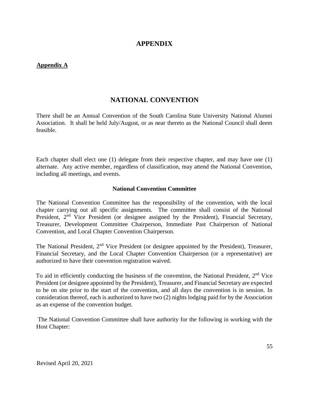# **APPENDIX**

## **Appendix A**

# **NATIONAL CONVENTION**

There shall be an Annual Convention of the South Carolina State University National Alumni Association. It shall be held July/August, or as near thereto as the National Council shall deem feasible.

Each chapter shall elect one (1) delegate from their respective chapter, and may have one (1) alternate. Any active member, regardless of classification, may attend the National Convention, including all meetings, and events.

#### **National Convention Committee**

The National Convention Committee has the responsibility of the convention, with the local chapter carrying out all specific assignments. The committee shall consist of the National President, 2<sup>nd</sup> Vice President (or designee assigned by the President), Financial Secretary, Treasurer, Development Committee Chairperson, Immediate Past Chairperson of National Convention, and Local Chapter Convention Chairperson.

The National President, 2<sup>nd</sup> Vice President (or designee appointed by the President), Treasurer, Financial Secretary, and the Local Chapter Convention Chairperson (or a representative) are authorized to have their convention registration waived.

To aid in efficiently conducting the business of the convention, the National President,  $2<sup>nd</sup>$  Vice President (or designee appointed by the President), Treasurer, and Financial Secretary are expected to be on site prior to the start of the convention, and all days the convention is in session. In consideration thereof, each is authorized to have two (2) nights lodging paid for by the Association as an expense of the convention budget.

The National Convention Committee shall have authority for the following in working with the Host Chapter: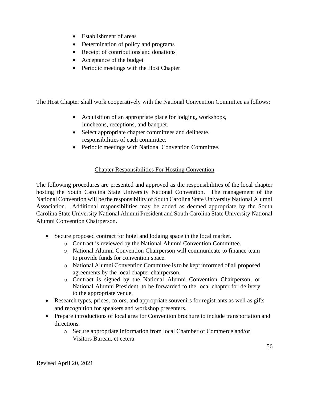- Establishment of areas
- Determination of policy and programs
- Receipt of contributions and donations
- Acceptance of the budget
- Periodic meetings with the Host Chapter

The Host Chapter shall work cooperatively with the National Convention Committee as follows:

- Acquisition of an appropriate place for lodging, workshops, luncheons, receptions, and banquet.
- Select appropriate chapter committees and delineate. responsibilities of each committee.
- Periodic meetings with National Convention Committee.

# Chapter Responsibilities For Hosting Convention

The following procedures are presented and approved as the responsibilities of the local chapter hosting the South Carolina State University National Convention. The management of the National Convention will be the responsibility of South Carolina State University National Alumni Association. Additional responsibilities may be added as deemed appropriate by the South Carolina State University National Alumni President and South Carolina State University National Alumni Convention Chairperson.

- Secure proposed contract for hotel and lodging space in the local market.
	- o Contract is reviewed by the National Alumni Convention Committee.
	- o National Alumni Convention Chairperson will communicate to finance team to provide funds for convention space.
	- o National Alumni Convention Committee is to be kept informed of all proposed agreements by the local chapter chairperson.
	- o Contract is signed by the National Alumni Convention Chairperson, or National Alumni President, to be forwarded to the local chapter for delivery to the appropriate venue.
- Research types, prices, colors, and appropriate souvenirs for registrants as well as gifts and recognition for speakers and workshop presenters.
- Prepare introductions of local area for Convention brochure to include transportation and directions.
	- o Secure appropriate information from local Chamber of Commerce and/or Visitors Bureau, et cetera.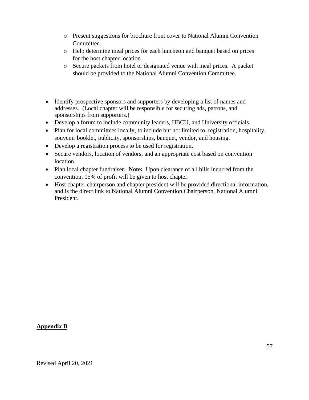- o Present suggestions for brochure front cover to National Alumni Convention Committee.
- o Help determine meal prices for each luncheon and banquet based on prices for the host chapter location.
- o Secure packets from hotel or designated venue with meal prices. A packet should be provided to the National Alumni Convention Committee.
- Identify prospective sponsors and supporters by developing a list of names and addresses. (Local chapter will be responsible for securing ads, patrons, and sponsorships from supporters.)
- Develop a forum to include community leaders, HBCU, and University officials.
- Plan for local committees locally, to include but not limited to, registration, hospitality, souvenir booklet, publicity, sponsorships, banquet, vendor, and housing.
- Develop a registration process to be used for registration.
- Secure vendors, location of vendors, and an appropriate cost based on convention location.
- Plan local chapter fundraiser. **Note:** Upon clearance of all bills incurred from the convention, 15% of profit will be given to host chapter.
- Host chapter chairperson and chapter president will be provided directional information, and is the direct link to National Alumni Convention Chairperson, National Alumni President.

# **Appendix B**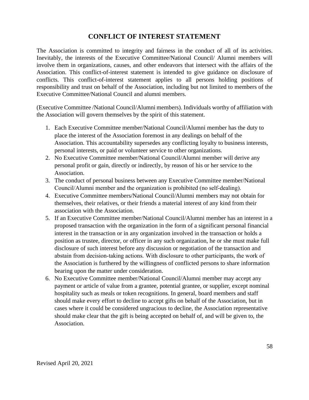# **CONFLICT OF INTEREST STATEMENT**

The Association is committed to integrity and fairness in the conduct of all of its activities. Inevitably, the interests of the Executive Committee/National Council/ Alumni members will involve them in organizations, causes, and other endeavors that intersect with the affairs of the Association. This conflict-of-interest statement is intended to give guidance on disclosure of conflicts. This conflict-of-interest statement applies to all persons holding positions of responsibility and trust on behalf of the Association, including but not limited to members of the Executive Committee/National Council and alumni members.

(Executive Committee /National Council/Alumni members). Individuals worthy of affiliation with the Association will govern themselves by the spirit of this statement.

- 1. Each Executive Committee member/National Council/Alumni member has the duty to place the interest of the Association foremost in any dealings on behalf of the Association. This accountability supersedes any conflicting loyalty to business interests, personal interests, or paid or volunteer service to other organizations.
- 2. No Executive Committee member/National Council/Alumni member will derive any personal profit or gain, directly or indirectly, by reason of his or her service to the Association.
- 3. The conduct of personal business between any Executive Committee member/National Council/Alumni member and the organization is prohibited (no self‐dealing).
- 4. Executive Committee members/National Council/Alumni members may not obtain for themselves, their relatives, or their friends a material interest of any kind from their association with the Association.
- 5. If an Executive Committee member/National Council/Alumni member has an interest in a proposed transaction with the organization in the form of a significant personal financial interest in the transaction or in any organization involved in the transaction or holds a position as trustee, director, or officer in any such organization, he or she must make full disclosure of such interest before any discussion or negotiation of the transaction and abstain from decision-taking actions. With disclosure to other participants, the work of the Association is furthered by the willingness of conflicted persons to share information bearing upon the matter under consideration.
- 6. No Executive Committee member/National Council/Alumni member may accept any payment or article of value from a grantee, potential grantee, or supplier, except nominal hospitality such as meals or token recognitions. In general, board members and staff should make every effort to decline to accept gifts on behalf of the Association, but in cases where it could be considered ungracious to decline, the Association representative should make clear that the gift is being accepted on behalf of, and will be given to, the Association.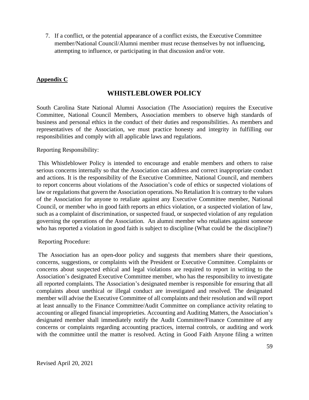7. If a conflict, or the potential appearance of a conflict exists, the Executive Committee member/National Council/Alumni member must recuse themselves by not influencing, attempting to influence, or participating in that discussion and/or vote.

# **Appendix C**

# **WHISTLEBLOWER POLICY**

South Carolina State National Alumni Association (The Association) requires the Executive Committee, National Council Members, Association members to observe high standards of business and personal ethics in the conduct of their duties and responsibilities. As members and representatives of the Association, we must practice honesty and integrity in fulfilling our responsibilities and comply with all applicable laws and regulations.

Reporting Responsibility:

This Whistleblower Policy is intended to encourage and enable members and others to raise serious concerns internally so that the Association can address and correct inappropriate conduct and actions. It is the responsibility of the Executive Committee, National Council, and members to report concerns about violations of the Association's code of ethics or suspected violations of law or regulations that govern the Association operations. No Retaliation It is contrary to the values of the Association for anyone to retaliate against any Executive Committee member, National Council, or member who in good faith reports an ethics violation, or a suspected violation of law, such as a complaint of discrimination, or suspected fraud, or suspected violation of any regulation governing the operations of the Association. An alumni member who retaliates against someone who has reported a violation in good faith is subject to discipline (What could be the discipline?)

Reporting Procedure:

The Association has an open-door policy and suggests that members share their questions, concerns, suggestions, or complaints with the President or Executive Committee. Complaints or concerns about suspected ethical and legal violations are required to report in writing to the Association's designated Executive Committee member, who has the responsibility to investigate all reported complaints. The Association's designated member is responsible for ensuring that all complaints about unethical or illegal conduct are investigated and resolved. The designated member will advise the Executive Committee of all complaints and their resolution and will report at least annually to the Finance Committee/Audit Committee on compliance activity relating to accounting or alleged financial improprieties. Accounting and Auditing Matters, the Association's designated member shall immediately notify the Audit Committee/Finance Committee of any concerns or complaints regarding accounting practices, internal controls, or auditing and work with the committee until the matter is resolved. Acting in Good Faith Anyone filing a written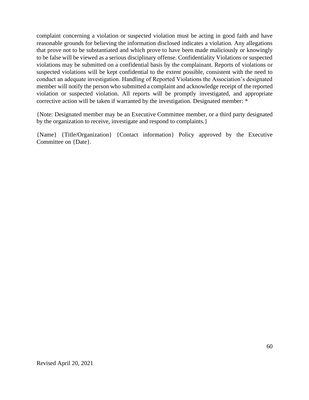complaint concerning a violation or suspected violation must be acting in good faith and have reasonable grounds for believing the information disclosed indicates a violation. Any allegations that prove not to be substantiated and which prove to have been made maliciously or knowingly to be false will be viewed as a serious disciplinary offense. Confidentiality Violations or suspected violations may be submitted on a confidential basis by the complainant. Reports of violations or suspected violations will be kept confidential to the extent possible, consistent with the need to conduct an adequate investigation. Handling of Reported Violations the Association's designated member will notify the person who submitted a complaint and acknowledge receipt of the reported violation or suspected violation. All reports will be promptly investigated, and appropriate corrective action will be taken if warranted by the investigation. Designated member: \*

{Note: Designated member may be an Executive Committee member, or a third party designated by the organization to receive, investigate and respond to complaints.}

{Name} {Title/Organization} {Contact information} Policy approved by the Executive Committee on {Date}.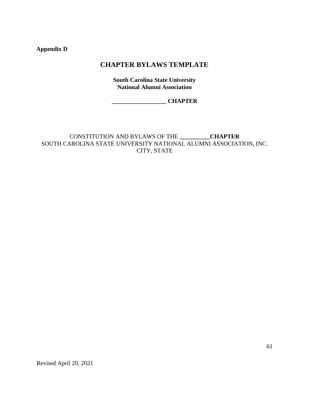**Appendix D**

# **CHAPTER BYLAWS TEMPLATE**

**South Carolina State University National Alumni Association**

**\_\_\_\_\_\_\_\_\_\_\_\_\_\_\_\_\_\_ CHAPTER** 

CONSTITUTION AND BYLAWS OF THE **\_\_\_\_\_\_\_\_\_\_CHAPTER** SOUTH CAROLINA STATE UNIVERSITY NATIONAL ALUMNI ASSOCIATION, INC. CITY, STATE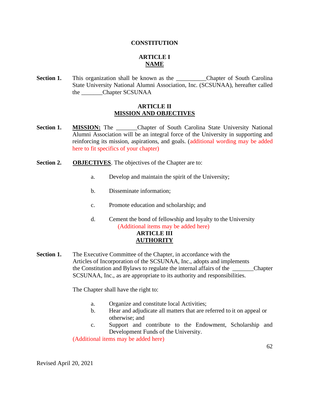#### **CONSTITUTION**

# **ARTICLE I NAME**

**Section 1.** This organization shall be known as the **Chapter of South Carolina** State University National Alumni Association, Inc. (SCSUNAA), hereafter called the \_\_\_\_\_\_\_Chapter SCSUNAA

#### **ARTICLE II MISSION AND OBJECTIVES**

- **Section 1. MISSION:** The Chapter of South Carolina State University National Alumni Association will be an integral force of the University in supporting and reinforcing its mission, aspirations, and goals. (additional wording may be added here to fit specifics of your chapter)
- **Section 2. OBJECTIVES**. The objectives of the Chapter are to:
	- a. Develop and maintain the spirit of the University;
	- b. Disseminate information;
	- c. Promote education and scholarship; and
	- d. Cement the bond of fellowship and loyalty to the University (Additional items may be added here) **ARTICLE III AUTHORITY**
- **Section 1.** The Executive Committee of the Chapter, in accordance with the Articles of Incorporation of the SCSUNAA, Inc., adopts and implements the Constitution and Bylaws to regulate the internal affairs of the \_\_\_\_\_\_\_Chapter SCSUNAA, Inc., as are appropriate to its authority and responsibilities.

The Chapter shall have the right to:

- a. Organize and constitute local Activities;
- b. Hear and adjudicate all matters that are referred to it on appeal or otherwise; and
- c. Support and contribute to the Endowment, Scholarship and Development Funds of the University.

(Additional items may be added here)

Revised April 20, 2021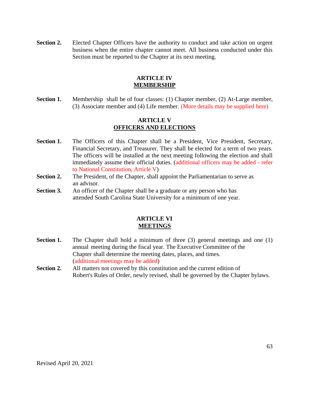**Section 2.** Elected Chapter Officers have the authority to conduct and take action on urgent business when the entire chapter cannot meet. All business conducted under this Section must be reported to the Chapter at its next meeting.

## **ARTICLE IV MEMBERSHIP**

**Section 1.** Membership shall be of four classes: (1) Chapter member, (2) At-Large member, (3) Associate member and (4) Life member. (More details may be supplied here)

#### **ARTICLE V OFFICERS AND ELECTIONS**

- Section 1. The Officers of this Chapter shall be a President, Vice President, Secretary, Financial Secretary, and Treasurer. They shall be elected for a term of two years. The officers will be installed at the next meeting following the election and shall immediately assume their official duties. (additional officers may be added - refer to National Constitution, Article V)
- **Section 2.** The President, of the Chapter, shall appoint the Parliamentarian to serve as an advisor.
- **Section 3.** An officer of the Chapter shall be a graduate or any person who has attended South Carolina State University for a minimum of one year.

#### **ARTICLE VI MEETINGS**

- **Section 1.** The Chapter shall hold a minimum of three (3) general meetings and one (1) annual meeting during the fiscal year. The Executive Committee of the Chapter shall determine the meeting dates, places, and times. (additional meetings may be added)
- **Section 2.** All matters not covered by this constitution and the current edition of Robert's Rules of Order, newly revised, shall be governed by the Chapter bylaws.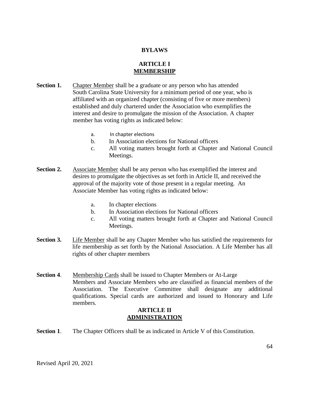#### **BYLAWS**

## **ARTICLE I MEMBERSHIP**

- **Section 1.** Chapter Member shall be a graduate or any person who has attended South Carolina State University for a minimum period of one year, who is affiliated with an organized chapter (consisting of five or more members) established and duly chartered under the Association who exemplifies the interest and desire to promulgate the mission of the Association. A chapter member has voting rights as indicated below:
	- a. In chapter elections
	- b. In Association elections for National officers
	- c. All voting matters brought forth at Chapter and National Council Meetings.
- **Section 2.** Associate Member shall be any person who has exemplified the interest and desires to promulgate the objectives as set forth in Article II, and received the approval of the majority vote of those present in a regular meeting. An Associate Member has voting rights as indicated below:
	- a. In chapter elections
	- b. In Association elections for National officers
	- c. All voting matters brought forth at Chapter and National Council Meetings.
- **Section 3.** Life Member shall be any Chapter Member who has satisfied the requirements for life membership as set forth by the National Association. A Life Member has all rights of other chapter members
- **Section 4**. Membership Cards shall be issued to Chapter Members or At-Large Members and Associate Members who are classified as financial members of the Association. The Executive Committee shall designate any additional qualifications. Special cards are authorized and issued to Honorary and Life members.

#### **ARTICLE II ADMINISTRATION**

**Section 1.** The Chapter Officers shall be as indicated in Article V of this Constitution.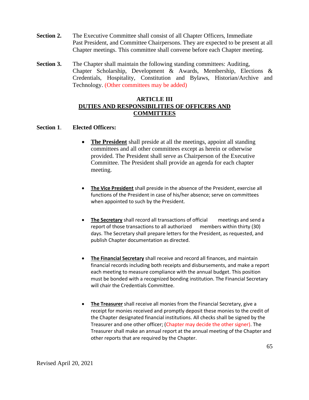- **Section 2.** The Executive Committee shall consist of all Chapter Officers, Immediate Past President, and Committee Chairpersons. They are expected to be present at all Chapter meetings. This committee shall convene before each Chapter meeting.
- **Section 3.** The Chapter shall maintain the following standing committees: Auditing, Chapter Scholarship, Development & Awards, Membership, Elections & Credentials, Hospitality, Constitution and Bylaws, Historian/Archive and Technology. (Other committees may be added)

#### **ARTICLE III DUTIES AND RESPONSIBILITIES OF OFFICERS AND COMMITTEES**

#### **Section 1**. **Elected Officers:**

- **The President** shall preside at all the meetings, appoint all standing committees and all other committees except as herein or otherwise provided. The President shall serve as Chairperson of the Executive Committee. The President shall provide an agenda for each chapter meeting.
- **The Vice President** shall preside in the absence of the President, exercise all functions of the President in case of his/her absence; serve on committees when appointed to such by the President.
- **The Secretary** shall record all transactions of official meetings and send a report of those transactions to all authorized members within thirty (30) days. The Secretary shall prepare letters for the President, as requested, and publish Chapter documentation as directed.
- **The Financial Secretary** shall receive and record all finances, and maintain financial records including both receipts and disbursements, and make a report each meeting to measure compliance with the annual budget. This position must be bonded with a recognized bonding institution. The Financial Secretary will chair the Credentials Committee.
- **The Treasurer** shall receive all monies from the Financial Secretary, give a receipt for monies received and promptly deposit these monies to the credit of the Chapter designated financial institutions. All checks shall be signed by the Treasurer and one other officer; (Chapter may decide the other signer). The Treasurer shall make an annual report at the annual meeting of the Chapter and other reports that are required by the Chapter.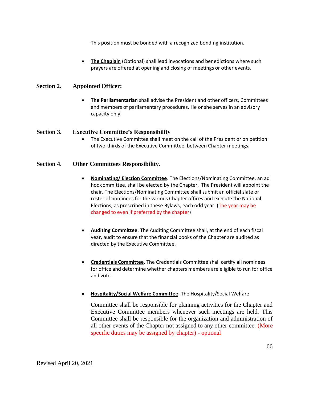This position must be bonded with a recognized bonding institution.

**The Chaplain** (Optional) shall lead invocations and benedictions where such prayers are offered at opening and closing of meetings or other events.

#### **Section 2. Appointed Officer:**

• **The Parliamentarian** shall advise the President and other officers, Committees and members of parliamentary procedures. He or she serves in an advisory capacity only.

#### **Section 3. Executive Committee's Responsibility**

The Executive Committee shall meet on the call of the President or on petition of two-thirds of the Executive Committee, between Chapter meetings.

### **Section 4. Other Committees Responsibility**.

- **Nominating/ Election Committee**. The Elections/Nominating Committee, an ad hoc committee, shall be elected by the Chapter. The President will appoint the chair. The Elections/Nominating Committee shall submit an official slate or roster of nominees for the various Chapter offices and execute the National Elections, as prescribed in these Bylaws, each odd year. (The year may be changed to even if preferred by the chapter)
- **Auditing Committee**. The Auditing Committee shall, at the end of each fiscal year, audit to ensure that the financial books of the Chapter are audited as directed by the Executive Committee.
- **Credentials Committee**. The Credentials Committee shall certify all nominees for office and determine whether chapters members are eligible to run for office and vote.
- **Hospitality/Social Welfare Committee**. The Hospitality/Social Welfare

Committee shall be responsible for planning activities for the Chapter and Executive Committee members whenever such meetings are held. This Committee shall be responsible for the organization and administration of all other events of the Chapter not assigned to any other committee. (More specific duties may be assigned by chapter) - optional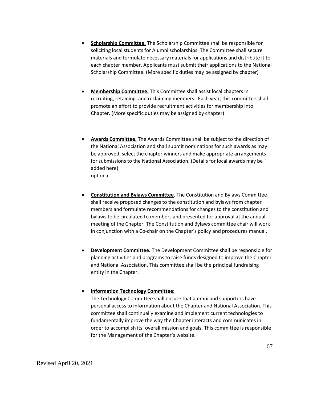- **Scholarship Committee.** The Scholarship Committee shall be responsible for soliciting local students for Alumni scholarships. The Committee shall secure materials and formulate necessary materials for applications and distribute it to each chapter member. Applicants must submit their applications to the National Scholarship Committee. (More specific duties may be assigned by chapter)
- **Membership Committee.** This Committee shall assist local chapters in recruiting, retaining, and reclaiming members. Each year, this committee shall promote an effort to provide recruitment activities for membership into Chapter. (More specific duties may be assigned by chapter)
- **Awards Committee.** The Awards Committee shall be subject to the direction of the National Association and shall submit nominations for such awards as may be approved, select the chapter winners and make appropriate arrangements for submissions to the National Association. (Details for local awards may be added here) optional
- **Constitution and Bylaws Committee**. The Constitution and Bylaws Committee shall receive proposed changes to the constitution and bylaws from chapter members and formulate recommendations for changes to the constitution and bylaws to be circulated to members and presented for approval at the annual meeting of the Chapter. The Constitution and Bylaws committee chair will work in conjunction with a Co-chair on the Chapter's policy and procedures manual.
- **Development Committee.** The Development Committee shall be responsible for planning activities and programs to raise funds designed to improve the Chapter and National Association. This committee shall be the principal fundraising entity in the Chapter.

#### • **Information Technology Committee:**

The Technology Committee shall ensure that alumni and supporters have personal access to information about the Chapter and National Association. This committee shall continually examine and implement current technologies to fundamentally improve the way the Chapter interacts and communicates in order to accomplish its' overall mission and goals. This committee is responsible for the Management of the Chapter's website.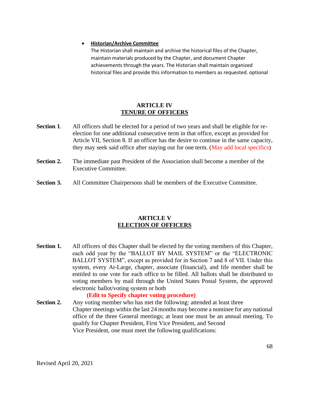#### • **Historian/Archive Committee**

The Historian shall maintain and archive the historical files of the Chapter, maintain materials produced by the Chapter, and document Chapter achievements through the years. The Historian shall maintain organized historical files and provide this information to members as requested. optional

#### **ARTICLE IV TENURE OF OFFICERS**

- **Section 1.** All officers shall be elected for a period of two years and shall be eligible for reelection for one additional consecutive term in that office, except as provided for Article VII, Section 8. If an officer has the desire to continue in the same capacity, they may seek said office after staying out for one term. (May add local specifics)
- **Section 2.** The immediate past President of the Association shall become a member of the Executive Committee.
- **Section 3.** All Committee Chairpersons shall be members of the Executive Committee.

#### **ARTICLE V ELECTION OF OFFICERS**

**Section 1.** All officers of this Chapter shall be elected by the voting members of this Chapter, each odd year by the "BALLOT BY MAIL SYSTEM" or the "ELECTRONIC BALLOT SYSTEM", except as provided for in Section 7 and 8 of VII. Under this system, every At-Large, chapter, associate (financial), and life member shall be entitled to one vote for each office to be filled. All ballots shall be distributed to voting members by mail through the United States Postal System, the approved electronic ballot/voting system or both

#### **(Edit to Specify chapter voting procedure)**

**Section 2.** Any voting member who has met the following: attended at least three Chapter meetings within the last 24 months may become a nominee for any national office of the three General meetings; at least one must be an annual meeting. To qualify for Chapter President, First Vice President, and Second Vice President, one must meet the following qualifications: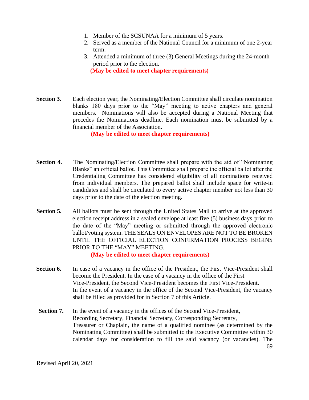- 1. Member of the SCSUNAA for a minimum of 5 years.
- 2. Served as a member of the National Council for a minimum of one 2-year term.
- 3. Attended a minimum of three (3) General Meetings during the 24-month period prior to the election.  **(May be edited to meet chapter requirements)**
- **Section 3.** Each election year, the Nominating/Election Committee shall circulate nomination blanks 180 days prior to the "May" meeting to active chapters and general members. Nominations will also be accepted during a National Meeting that precedes the Nominations deadline. Each nomination must be submitted by a financial member of the Association.

**(May be edited to meet chapter requirements)**

- **Section 4.** The Nominating/Election Committee shall prepare with the aid of "Nominating" Blanks" an official ballot. This Committee shall prepare the official ballot after the Credentialing Committee has considered eligibility of all nominations received from individual members. The prepared ballot shall include space for write-in candidates and shall be circulated to every active chapter member not less than 30 days prior to the date of the election meeting.
- **Section 5.** All ballots must be sent through the United States Mail to arrive at the approved election receipt address in a sealed envelope at least five (5) business days prior to the date of the "May" meeting or submitted through the approved electronic ballot/voting system. THE SEALS ON ENVELOPES ARE NOT TO BE BROKEN UNTIL THE OFFICIAL ELECTION CONFIRMATION PROCESS BEGINS PRIOR TO THE "MAY" MEETING.

**(May be edited to meet chapter requirements)**

- **Section 6.** In case of a vacancy in the office of the President, the First Vice-President shall become the President. In the case of a vacancy in the office of the First Vice-President, the Second Vice-President becomes the First Vice-President. In the event of a vacancy in the office of the Second Vice-President, the vacancy shall be filled as provided for in Section 7 of this Article.
- 69 **Section 7.** In the event of a vacancy in the offices of the Second Vice-President, Recording Secretary, Financial Secretary, Corresponding Secretary, Treasurer or Chaplain, the name of a qualified nominee (as determined by the Nominating Committee) shall be submitted to the Executive Committee within 30 calendar days for consideration to fill the said vacancy (or vacancies). The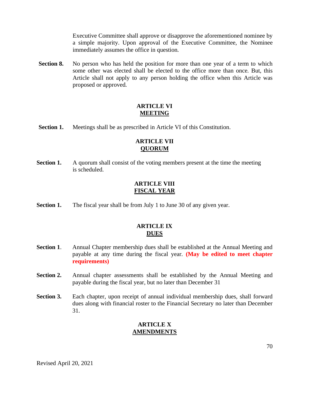Executive Committee shall approve or disapprove the aforementioned nominee by a simple majority. Upon approval of the Executive Committee, the Nominee immediately assumes the office in question.

**Section 8.** No person who has held the position for more than one year of a term to which some other was elected shall be elected to the office more than once. But, this Article shall not apply to any person holding the office when this Article was proposed or approved.

## **ARTICLE VI MEETING**

**Section 1.** Meetings shall be as prescribed in Article VI of this Constitution.

#### **ARTICLE VII QUORUM**

**Section 1.** A quorum shall consist of the voting members present at the time the meeting is scheduled.

## **ARTICLE VIII FISCAL YEAR**

**Section 1.** The fiscal year shall be from July 1 to June 30 of any given year.

## **ARTICLE IX DUES**

- **Section 1.** Annual Chapter membership dues shall be established at the Annual Meeting and payable at any time during the fiscal year. **(May be edited to meet chapter requirements)**
- **Section 2.** Annual chapter assessments shall be established by the Annual Meeting and payable during the fiscal year, but no later than December 31
- **Section 3.** Each chapter, upon receipt of annual individual membership dues, shall forward dues along with financial roster to the Financial Secretary no later than December 31.

# **ARTICLE X AMENDMENTS**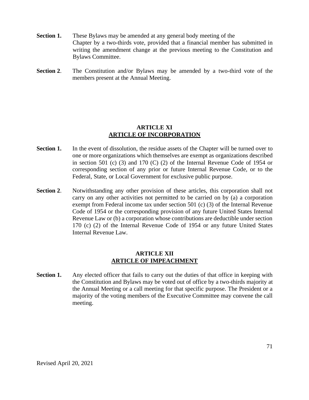- **Section 1.** These Bylaws may be amended at any general body meeting of the Chapter by a two-thirds vote, provided that a financial member has submitted in writing the amendment change at the previous meeting to the Constitution and Bylaws Committee.
- **Section 2**. The Constitution and/or Bylaws may be amended by a two-third vote of the members present at the Annual Meeting.

#### **ARTICLE XI ARTICLE OF INCORPORATION**

- **Section 1.** In the event of dissolution, the residue assets of the Chapter will be turned over to one or more organizations which themselves are exempt as organizations described in section 501 (c) (3) and 170 (C) (2) of the Internal Revenue Code of 1954 or corresponding section of any prior or future Internal Revenue Code, or to the Federal, State, or Local Government for exclusive public purpose.
- **Section 2**. Notwithstanding any other provision of these articles, this corporation shall not carry on any other activities not permitted to be carried on by (a) a corporation exempt from Federal income tax under section 501 (c) (3) of the Internal Revenue Code of 1954 or the corresponding provision of any future United States Internal Revenue Law or (b) a corporation whose contributions are deductible under section 170 (c) (2) of the Internal Revenue Code of 1954 or any future United States Internal Revenue Law.

### **ARTICLE XII ARTICLE OF IMPEACHMENT**

**Section 1.** Any elected officer that fails to carry out the duties of that office in keeping with the Constitution and Bylaws may be voted out of office by a two-thirds majority at the Annual Meeting or a call meeting for that specific purpose. The President or a majority of the voting members of the Executive Committee may convene the call meeting.